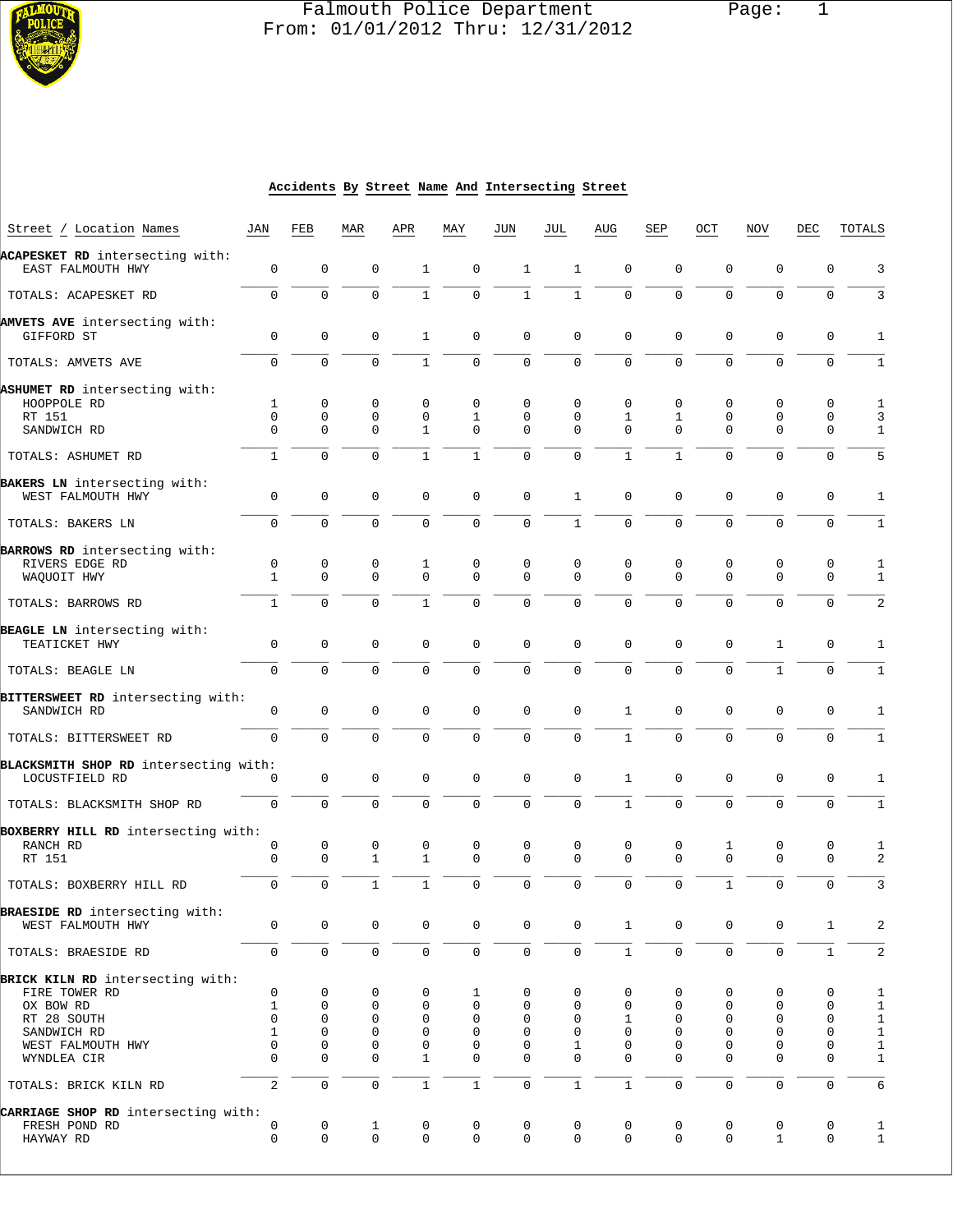

# Falmouth Police Department Page: 1  $\frac{1}{3}$  From: 01/01/2012 Thru: 12/31/2012

#### **Accidents By Street Name And Intersecting Street**

| Street / Location Names                                 | JAN               | FEB                 | MAR                        | APR                        | MAY              | JUN                        | JUL                        | AUG              | SEP                     | OCT              | NOV                        | DEC                        | TOTALS                     |
|---------------------------------------------------------|-------------------|---------------------|----------------------------|----------------------------|------------------|----------------------------|----------------------------|------------------|-------------------------|------------------|----------------------------|----------------------------|----------------------------|
| ACAPESKET RD intersecting with:                         |                   |                     |                            |                            |                  |                            |                            |                  |                         |                  |                            |                            |                            |
| EAST FALMOUTH HWY                                       | 0                 | 0                   | $\mathbf 0$                | $\mathbf{1}$               | 0                | $\mathbf{1}$               | $\mathbf{1}$               | $\mathbf 0$      | $\mathbf 0$             | $\mathbf 0$      | $\mathbf 0$                | 0                          | 3                          |
| TOTALS: ACAPESKET RD                                    | $\mathbf 0$       | $\mathbf{0}$        | $\mathbf 0$                | $\mathbf{1}$               | 0                | $\mathbf{1}$               | $\mathbf{1}$               | $\mathbf 0$      | $\mathbf 0$             | $\mathbf 0$      | $\mathbf 0$                | 0                          | 3                          |
| AMVETS AVE intersecting with:                           |                   |                     |                            |                            |                  |                            |                            |                  |                         |                  |                            |                            |                            |
| GIFFORD ST                                              | $\mathbf 0$       | $\mathbf{0}$        | $\mathbf 0$                | 1                          | 0                | 0                          | $\mathbf 0$                | $\mathbf 0$      | 0                       | $\mathbf 0$      | $\mathbf 0$                | $\mathbf 0$                | $\mathbf{1}$               |
| TOTALS: AMVETS AVE                                      | $\mathbf 0$       | $\Omega$            | $\Omega$                   | $\mathbf{1}$               | $\mathbf 0$      | $\mathbf 0$                | $\mathbf{0}$               | $\Omega$         | $\Omega$                | $\Omega$         | $\Omega$                   | $\mathbf 0$                | 1                          |
| ASHUMET RD intersecting with:                           |                   |                     |                            |                            |                  |                            |                            |                  |                         |                  |                            |                            |                            |
| HOOPPOLE RD                                             | 1                 | 0                   | 0                          | 0                          | 0                | 0                          | 0                          | $\mathbf 0$      | 0                       | $\mathbf 0$      | 0                          | 0                          | $\mathbf{1}$               |
| RT 151                                                  | $\mathbf 0$       | $\mathbf 0$         | 0                          | 0                          | 1                | 0                          | 0                          | $\mathbf{1}$     | 1                       | 0                | 0                          | 0                          | $\overline{3}$             |
| SANDWICH RD                                             | $\Omega$          | $\mathbf{0}$        | $\Omega$                   | $\mathbf{1}$               | 0                | 0                          | $\Omega$                   | $\Omega$         | $\Omega$                | $\mathbf 0$      | $\mathbf 0$                | $\mathbf 0$                | $\mathbf{1}$               |
| TOTALS: ASHUMET RD                                      | $\mathbf{1}$      | $\Omega$            | $\Omega$                   | $\mathbf{1}$               | $\mathbf{1}$     | $\mathbf 0$                | $\Omega$                   | $\mathbf{1}$     | $\mathbf{1}$            | $\Omega$         | $\mathbf 0$                | $\mathbf 0$                | 5                          |
| BAKERS LN intersecting with:                            |                   |                     |                            |                            |                  |                            |                            |                  |                         |                  |                            |                            |                            |
| WEST FALMOUTH HWY                                       | $\mathbf 0$       | $\mathbf 0$         | $\mathbf 0$                | $\mathbf 0$                | 0                | 0                          | $\mathbf{1}$               | $\mathbf 0$      | 0                       | 0                | $\mathbf 0$                | 0                          | $\mathbf{1}$               |
| TOTALS: BAKERS LN                                       | $\mathbf 0$       | $\mathbf 0$         | $\mathbf 0$                | $\mathbf 0$                | $\mathbf 0$      | $\mathbf 0$                | $1\,$                      | $\mathbf 0$      | 0                       | $\mathbf 0$      | $\mathbf 0$                | $\mathbf 0$                | $\mathbf{1}$               |
| BARROWS RD intersecting with:                           |                   |                     |                            |                            |                  |                            |                            |                  |                         |                  |                            |                            |                            |
| RIVERS EDGE RD                                          | 0                 | 0                   | 0                          | 1                          | 0                | 0                          | 0                          | 0                | 0                       | 0                | 0                          | 0                          | 1                          |
| WAQUOIT HWY                                             | $\mathbf{1}$      | $\Omega$            | $\Omega$                   | $\Omega$                   | $\Omega$         | $\Omega$                   | $\Omega$                   | $\Omega$         | $\Omega$                | $\Omega$         | $\mathbf 0$                | $\mathbf 0$                | $\mathbf{1}$               |
| TOTALS: BARROWS RD                                      | $\mathbf{1}$      | $\mathbf 0$         | $\mathbf 0$                | $\mathbf{1}$               | $\mathbf{0}$     | $\mathbf 0$                | $\mathbf 0$                | $\mathbf 0$      | $\mathbf 0$             | $\mathbf 0$      | $\mathbf 0$                | 0                          | 2                          |
| BEAGLE LN intersecting with:                            |                   |                     |                            |                            |                  |                            |                            |                  |                         |                  |                            |                            |                            |
| TEATICKET HWY                                           | $\mathbf 0$       | $\mathbf{0}$        | $\mathbf 0$                | $\mathbf 0$                | 0                | 0                          | $\mathbf 0$                | $\mathbf 0$      | $\mathbf 0$             | $\mathbf 0$      | $\mathbf{1}$               | 0                          | 1                          |
| TOTALS: BEAGLE LN                                       | $\mathbf 0$       | $\mathbf 0$         | $\mathbf 0$                | 0                          | $\mathbf 0$      | $\mathbf 0$                | $\mathbf{0}$               | $\mathbf 0$      | $\mathbf 0$             | $\mathbf 0$      | $\mathbf{1}$               | $\mathsf 0$                | $\mathbf{1}$               |
| BITTERSWEET RD intersecting with:                       |                   |                     |                            |                            |                  |                            |                            |                  |                         |                  |                            |                            |                            |
| SANDWICH RD                                             | 0                 | $\mathbf 0$         | $\mathbf 0$                | 0                          | 0                | 0                          | $\mathbf 0$                | 1                | 0                       | 0                | 0                          | 0                          | 1                          |
| TOTALS: BITTERSWEET RD                                  | $\mathbf 0$       | $\mathbf 0$         | $\Omega$                   | $\Omega$                   | $\Omega$         | $\Omega$                   | $\mathbf 0$                | $\mathbf{1}$     | 0                       | $\Omega$         | $\mathbf 0$                | $\mathbf 0$                | $\mathbf{1}$               |
|                                                         |                   |                     |                            |                            |                  |                            |                            |                  |                         |                  |                            |                            |                            |
| BLACKSMITH SHOP RD intersecting with:<br>LOCUSTFIELD RD | 0                 | $\mathbf 0$         | $\mathbf 0$                | 0                          | 0                | $\mathbf 0$                | $\mathbf 0$                | $\mathbf{1}$     | 0                       | 0                | $\mathbf 0$                | 0                          | 1                          |
|                                                         |                   |                     |                            |                            |                  |                            |                            |                  |                         |                  |                            |                            |                            |
| TOTALS: BLACKSMITH SHOP RD                              | $\mathbf 0$       | $\mathbf{0}$        | $\mathbf 0$                | 0                          | $\mathbf{0}$     | 0                          | $\mathsf 0$                | $\mathbf{1}$     | $\mathbf 0$             | $\mathbf 0$      | $\mathbf 0$                | $\mathbf 0$                | $1\,$                      |
| BOXBERRY HILL RD intersecting with:                     |                   |                     |                            |                            |                  |                            |                            |                  |                         |                  |                            |                            |                            |
| RANCH RD                                                | 0<br>$\mathbf 0$  | 0<br>$\mathbf 0$    | 0<br>$\mathbf{1}$          | 0<br>$\mathbf{1}$          | 0<br>0           | $\mathbf 0$<br>$\mathbf 0$ | 0<br>$\mathbf 0$           | 0<br>$\mathbf 0$ | 0<br>$\mathbf 0$        | 1<br>$\mathbf 0$ | 0<br>$\mathbf 0$           | 0<br>$\mathbf 0$           | $\mathbf{1}$<br>2          |
| RT 151                                                  |                   |                     |                            |                            |                  |                            |                            |                  |                         |                  |                            |                            |                            |
| TOTALS: BOXBERRY HILL RD                                | $\mathbf 0$       | $\Omega$            | $\mathbf{1}$               | $\mathbf{1}$               | $\Omega$         | $\Omega$                   | $\mathbf{0}$               | $\Omega$         | $\Omega$                | $\mathbf{1}$     | $\Omega$                   | $\mathbf 0$                | 3                          |
| BRAESIDE RD intersecting with:                          |                   |                     |                            |                            |                  |                            |                            |                  |                         |                  |                            |                            |                            |
| WEST FALMOUTH HWY                                       | 0                 | 0                   | 0                          | 0                          | 0                | 0                          | 0                          | $\mathbf{1}$     | 0                       | 0                | 0                          | 1                          | 2                          |
| TOTALS: BRAESIDE RD                                     | 0                 | $\mathbf 0$         | $\mathbf 0$                | $\mathbf 0$                | 0                | $\mathbf 0$                | $\mathbf 0$                | $\mathbf{1}$     | $\mathbf 0$             | $\mathbf 0$      | $\mathbf 0$                | $\mathbf{1}$               | 2                          |
| BRICK KILN RD intersecting with:                        |                   |                     |                            |                            |                  |                            |                            |                  |                         |                  |                            |                            |                            |
| FIRE TOWER RD                                           | 0                 | 0                   | 0                          | 0                          | 1                | 0                          | 0                          | 0                | 0                       | 0                | 0                          | 0                          | $\mathbf{1}$               |
| OX BOW RD                                               | $\mathbf{1}$      | $\mathbf 0$         | 0                          | $\mathbf 0$                | 0                | 0                          | 0                          | $\mathbf 0$      | $\mathbf 0$             | 0                | $\mathbf 0$                | $\mathbf 0$                | $\mathbf{1}$               |
| RT 28 SOUTH<br>SANDWICH RD                              | 0<br>$\mathbf{1}$ | 0<br>$\mathbf{0}$   | $\mathbf 0$<br>$\mathbf 0$ | $\mathbf 0$<br>$\mathbf 0$ | 0<br>$\mathbf 0$ | 0<br>0                     | $\mathbf 0$<br>$\mathbf 0$ | 1<br>$\mathbf 0$ | $\mathbf 0$<br>$\Omega$ | 0<br>$\mathbf 0$ | $\mathbf 0$<br>$\mathbf 0$ | $\mathbf 0$<br>$\mathbf 0$ | $\mathbf 1$<br>$\mathbf 1$ |
| WEST FALMOUTH HWY                                       | 0                 | $\mathbf{0}$        | $\mathbf 0$                | $\mathbf 0$                | 0                | 0                          | 1                          | 0                | $\mathbf 0$             | $\mathbf 0$      | $\mathbf 0$                | $\mathbf 0$                | $\,1$                      |
| WYNDLEA CIR                                             | 0                 | 0                   | $\mathbf 0$                | $\mathbf{1}$               | 0                | 0                          | $\mathbf 0$                | $\Omega$         | $\Omega$                | $\mathbf 0$      | $\mathbf 0$                | $\mathbf 0$                | $\mathbf 1$                |
| TOTALS: BRICK KILN RD                                   | 2                 | $\mathsf{O}\xspace$ | $\mathsf 0$                | $\mathbf{1}$               | $\mathbf{1}$     | $\mathsf{O}\xspace$        | $\mathbf 1$                | $\mathbf{1}$     | $\mathbf 0$             | $\mathbf 0$      | $\mathsf{O}\xspace$        | $\mathsf 0$                | 6                          |
| CARRIAGE SHOP RD intersecting with:                     |                   |                     |                            |                            |                  |                            |                            |                  |                         |                  |                            |                            |                            |
| FRESH POND RD                                           | 0                 | 0                   | $\mathbf{1}$               | 0                          | 0                | $\mathbf 0$                | 0                          | 0                | 0                       | 0                | 0                          | 0                          | $\mathbf{1}$               |
| HAYWAY RD                                               | $\mathbf 0$       | $\mathbf 0$         | $\mathbf 0$                | 0                          | 0                | $\mathbf 0$                | $\mathbf 0$                | $\mathbf{0}$     | $\mathbf 0$             | $\mathbf 0$      | $\mathbf{1}$               | $\mathbf 0$                | $\mathbf{1}$               |
|                                                         |                   |                     |                            |                            |                  |                            |                            |                  |                         |                  |                            |                            |                            |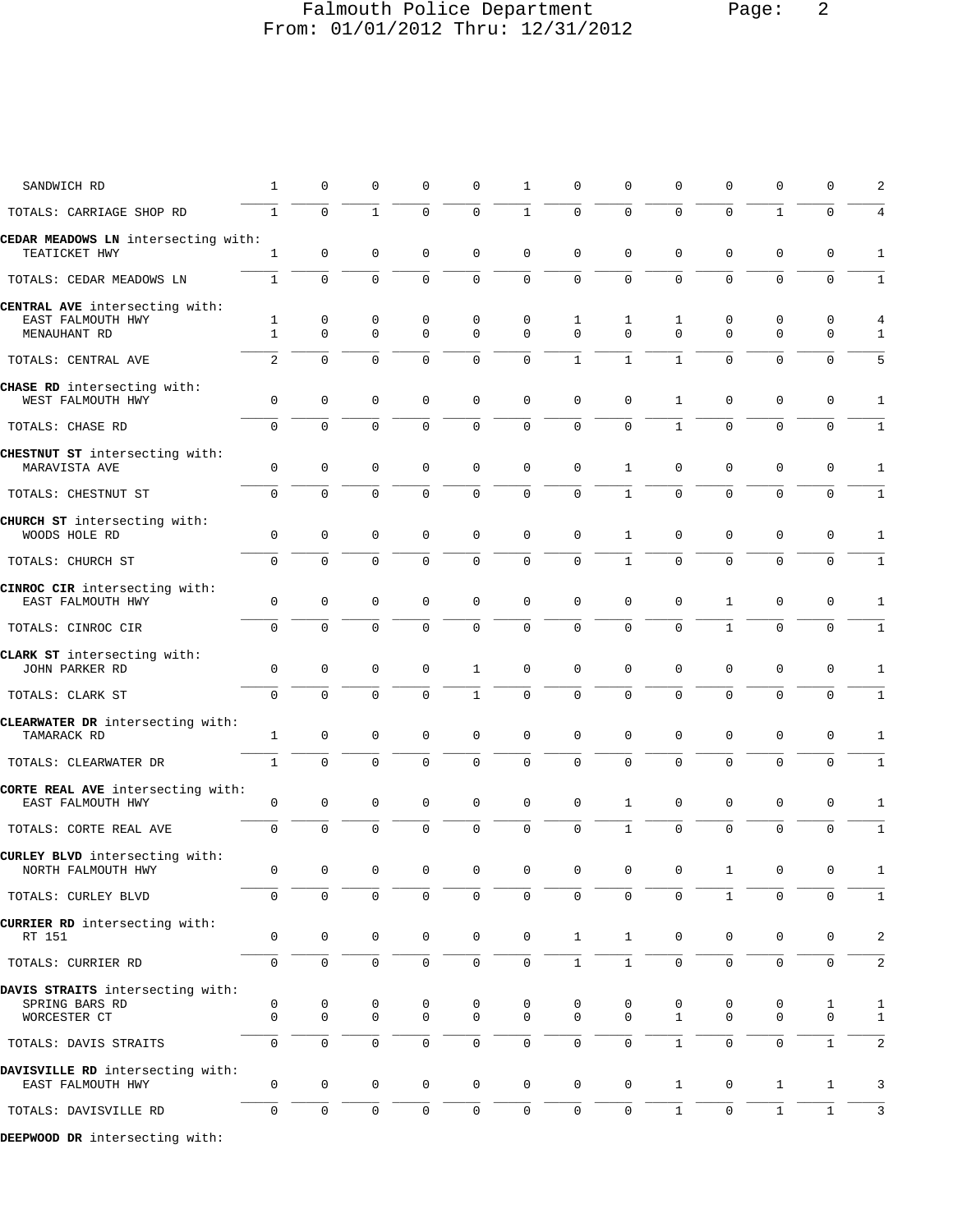# Falmouth Police Department Page: 2 From: 01/01/2012 Thru: 12/31/2012

| SANDWICH RD                                            | $\mathbf{1}$      | $\mathbf 0$         | 0                | 0                | 0                | $\mathbf{1}$  | $\mathbf 0$         | 0                | 0                | $\mathbf 0$      | 0                | 0            | 2                              |
|--------------------------------------------------------|-------------------|---------------------|------------------|------------------|------------------|---------------|---------------------|------------------|------------------|------------------|------------------|--------------|--------------------------------|
| TOTALS: CARRIAGE SHOP RD                               | $\mathbf{1}$      | $\Omega$            | $\mathbf{1}$     | 0                | $\mathbf 0$      | $\mathbf{1}$  | $\mathbf 0$         | $\mathbf 0$      | $\mathbf 0$      | $\mathbf 0$      | $\mathbf{1}$     | $\mathbf 0$  | $\overline{4}$                 |
| CEDAR MEADOWS LN intersecting with:<br>TEATICKET HWY   | $\mathbf{1}$      | $\mathbf 0$         | $\mathbf 0$      | $\mathbf 0$      | $\mathbf 0$      | $\mathbf{0}$  | $\mathbf 0$         | $\mathbf 0$      | 0                | $\mathbf 0$      | $\mathbf 0$      | $\mathbf 0$  | $\mathbf{1}$                   |
| TOTALS: CEDAR MEADOWS LN                               | $\mathbf{1}$      | $\mathbf 0$         | $\mathbf 0$      | 0                | $\mathbf 0$      | $\mathbf 0$   | $\mathbf 0$         | $\mathbf 0$      | $\mathbf 0$      | $\mathbf 0$      | $\mathbf 0$      | $\mathbf 0$  | $\mathbf{1}$                   |
| CENTRAL AVE intersecting with:                         |                   |                     |                  |                  |                  |               |                     |                  |                  |                  |                  |              |                                |
| EAST FALMOUTH HWY<br>MENAUHANT RD                      | 1<br>$\mathbf{1}$ | 0<br>$\mathbf 0$    | 0<br>$\mathbf 0$ | 0<br>$\mathbf 0$ | 0<br>$\mathbf 0$ | 0<br>$\Omega$ | 1<br>$\Omega$       | 1<br>$\mathbf 0$ | 1<br>$\mathbf 0$ | 0<br>$\mathbf 0$ | 0<br>$\mathbf 0$ | 0<br>0       | $\overline{4}$<br>$\mathbf{1}$ |
|                                                        |                   |                     |                  |                  |                  |               |                     |                  |                  |                  |                  |              |                                |
| TOTALS: CENTRAL AVE                                    | 2                 | $\Omega$            | $\Omega$         | $\Omega$         | $\mathbf 0$      | $\mathbf 0$   | $\mathbf{1}$        | $\mathbf{1}$     | $\mathbf{1}$     | $\Omega$         | $\Omega$         | $\Omega$     | 5                              |
| CHASE RD intersecting with:<br>WEST FALMOUTH HWY       | 0                 | $\mathbf 0$         | $\mathbf 0$      | 0                | $\mathbf 0$      | 0             | $\mathbf 0$         | 0                | 1                | $\mathbf 0$      | $\mathbf 0$      | 0            | 1                              |
| TOTALS: CHASE RD                                       | $\mathbf 0$       | $\mathbf 0$         | $\mathbf 0$      | 0                | $\mathbf 0$      | 0             | $\mathbf 0$         | $\mathbf 0$      | $\mathbf{1}$     | $\mathbf 0$      | $\mathbf 0$      | $\mathbf 0$  | $\mathbf{1}$                   |
| CHESTNUT ST intersecting with:<br>MARAVISTA AVE        | 0                 | $\mathbf 0$         | $\mathbf 0$      | $\mathbf 0$      | $\mathbf 0$      | $\mathbf 0$   | $\mathbf 0$         | $\mathbf{1}$     | 0                | $\mathbf 0$      | $\mathbf{0}$     | $\mathbf 0$  | 1                              |
| TOTALS: CHESTNUT ST                                    | $\mathbf 0$       | $\mathbf 0$         | $\mathbf 0$      | $\mathbf 0$      | $\mathbf 0$      | $\mathbf 0$   | $\mathbf 0$         | $\mathbf{1}$     | $\mathbf 0$      | $\mathbf 0$      | $\mathbf{0}$     | $\mathbf 0$  | $1\,$                          |
| CHURCH ST intersecting with:<br>WOODS HOLE RD          | 0                 | $\mathbf 0$         | 0                | 0                | 0                | $\mathbf 0$   | $\mathbf 0$         | $\mathbf{1}$     | $\mathbf 0$      | $\mathbf 0$      | 0                | $\mathbf 0$  | 1                              |
| TOTALS: CHURCH ST                                      | 0                 | $\mathbf 0$         | $\mathbf 0$      | $\mathbf 0$      | $\mathbf 0$      | $\mathbf 0$   | $\mathbf 0$         | $\mathbf{1}$     | $\mathbf 0$      | $\mathbf 0$      | $\mathbf{0}$     | $\mathbf 0$  | $\mathbf{1}$                   |
| CINROC CIR intersecting with:<br>EAST FALMOUTH HWY     | 0                 | 0                   | $\mathbf 0$      | 0                | 0                | 0             | $\mathbf 0$         | 0                | 0                | $\mathbf{1}$     | 0                | 0            | 1                              |
| TOTALS: CINROC CIR                                     | $\mathbf 0$       | $\mathbf 0$         | $\mathbf 0$      | 0                | $\mathbf 0$      | $\mathbf 0$   | $\mathbf 0$         | $\mathbf 0$      | $\mathbf 0$      | $\mathbf{1}$     | $\mathbf 0$      | $\mathbf 0$  | $\mathbf{1}$                   |
| CLARK ST intersecting with:<br>JOHN PARKER RD          | $\mathbf 0$       | $\mathbf 0$         | $\mathbf 0$      | 0                | 1                | $\mathbf 0$   | $\mathbf 0$         | 0                | $\mathbf 0$      | $\mathbf 0$      | 0                | $\mathbf 0$  | 1                              |
| TOTALS: CLARK ST                                       | $\mathbf 0$       | $\Omega$            | $\Omega$         | $\mathbf 0$      | $\mathbf{1}$     | $\mathbf 0$   | $\Omega$            | $\Omega$         | $\mathbf 0$      | $\mathbf 0$      | $\mathbf 0$      | $\mathbf 0$  | $\mathbf{1}$                   |
| CLEARWATER DR intersecting with:<br>TAMARACK RD        | $\mathbf{1}$      | $\mathbf 0$         | $\mathbf 0$      | 0                | $\mathbf 0$      | $\mathbf 0$   | $\mathbf 0$         | $\mathbf 0$      | 0                | $\mathbf 0$      | $\mathbf 0$      | $\mathbf 0$  | 1                              |
| TOTALS: CLEARWATER DR                                  | $\mathbf{1}$      | $\mathbf 0$         | $\mathbf 0$      | 0                | $\mathbf 0$      | 0             | $\mathsf{O}\xspace$ | 0                | $\mathbf 0$      | $\mathbf 0$      | $\mathsf 0$      | $\mathbf 0$  | $\mathbf{1}$                   |
| CORTE REAL AVE intersecting with:<br>EAST FALMOUTH HWY | 0                 | 0                   | 0                | 0                | $\mathbf 0$      | $\mathbf 0$   | 0                   | $\mathbf{1}$     | 0                | 0                | 0                | 0            | 1                              |
| TOTALS: CORTE REAL AVE                                 | $\mathbf 0$       | $\mathbf 0$         | $\mathbf 0$      | 0                | $\mathbf 0$      | $\mathbf 0$   | $\mathsf{O}\xspace$ | $\mathbf{1}$     | $\mathsf 0$      | $\mathbf 0$      | $\mathbf{0}$     | $\mathbf 0$  | $\mathbf{1}$                   |
| CURLEY BLVD intersecting with:<br>NORTH FALMOUTH HWY   | 0                 | $\mathsf{O}\xspace$ | $\mathbf 0$      | 0                | $\mathbf 0$      | 0             | $\mathbf 0$         | 0                | 0                | $\mathbf{1}$     | $\mathbf 0$      | $\mathbf 0$  | 1                              |
| TOTALS: CURLEY BLVD                                    | 0                 | $\mathbf 0$         | $\mathbf 0$      | $\mathbf 0$      | 0                | $\mathbf 0$   | $\mathsf{O}$        | $\mathsf 0$      | $\mathbf 0$      | $\mathbf{1}$     | $\mathbf 0$      | $\mathbf 0$  | $\mathbf{1}$                   |
| CURRIER RD intersecting with:<br>RT 151                | 0                 | $\mathbf 0$         | $\mathbf 0$      | 0                | 0                | $\mathbf 0$   | $\mathbf{1}$        | $\mathbf{1}$     | $\mathbf 0$      | 0                | 0                | 0            | 2                              |
| TOTALS: CURRIER RD                                     | 0                 | $\mathbf 0$         | $\mathsf{O}$     | 0                | $\mathbf 0$      | $\mathbf 0$   | $\mathbf{1}$        | $\mathbf{1}$     | $\mathsf{O}$     | 0                | $\mathbf{0}$     | $\mathbf 0$  | 2                              |
| DAVIS STRAITS intersecting with:                       |                   |                     |                  |                  |                  |               |                     |                  |                  |                  |                  |              |                                |
| SPRING BARS RD                                         | 0                 | 0                   | 0                | 0                | 0                | 0             | 0                   | 0                | 0                | 0                | 0                | 1            | $\mathbf{1}$                   |
| WORCESTER CT                                           | $\mathbf 0$       | $\mathbf 0$         | 0                | $\mathsf{O}$     | $\mathbf 0$      | $\mathbf{0}$  | $\mathbf{0}$        | $\mathbf{0}$     | $\mathbf{1}$     | 0                | 0                | 0            | $\mathbf{1}$                   |
| TOTALS: DAVIS STRAITS                                  | $\mathbf 0$       | $\mathbf 0$         | $\mathbf 0$      | $\mathbf 0$      | $\mathbf{0}$     | $\mathbf 0$   | $\mathbf 0$         | $\mathbf 0$      | $\mathbf{1}$     | $\mathbf 0$      | $\mathbf 0$      | $\mathbf{1}$ | 2                              |
| DAVISVILLE RD intersecting with:<br>EAST FALMOUTH HWY  | 0                 | $\mathbf 0$         | 0                | $\mathsf{O}$     | $\mathbf 0$      | $\mathbf 0$   | $\mathsf{O}$        | $\mathsf{O}$     | $\mathbf{1}$     | $\mathbf 0$      | $\mathbf{1}$     | $\mathbf{1}$ | 3                              |
| TOTALS: DAVISVILLE RD                                  | 0                 | $\mathbf 0$         | $\mathbf 0$      | 0                | $\mathbf 0$      | $\mathbf 0$   | 0                   | 0                | $\mathbf{1}$     | $\mathbf 0$      | $\mathbf{1}$     | $\mathbf{1}$ | 3                              |
| DEEPWOOD DR intersecting with:                         |                   |                     |                  |                  |                  |               |                     |                  |                  |                  |                  |              |                                |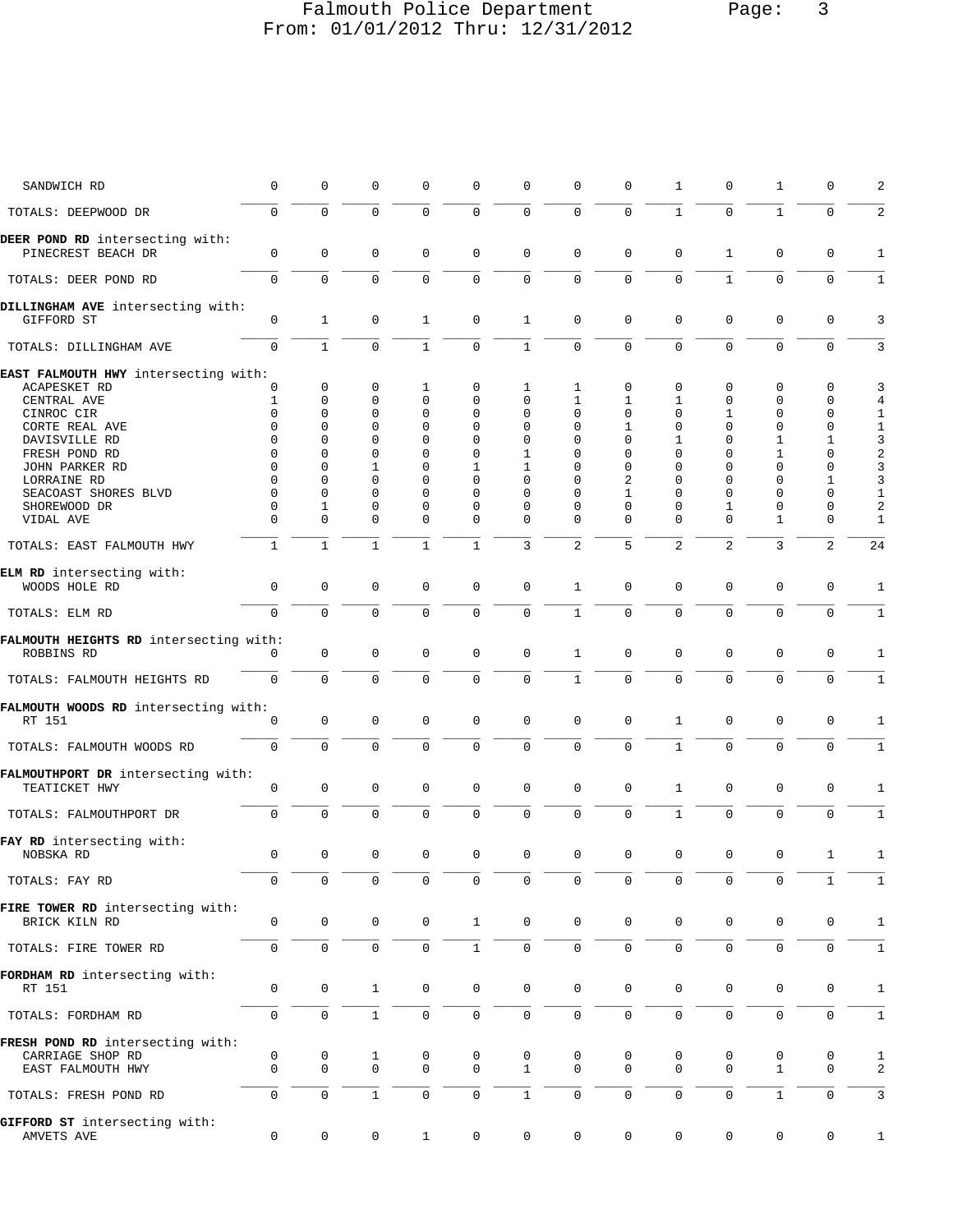## Falmouth Police Department Page: 3 From: 01/01/2012 Thru: 12/31/2012

| SANDWICH RD                                          | 0                   | $\mathbf 0$  | 0            | 0            | $\mathbf 0$  | 0                   | 0              | 0           | 1              | 0            | 1            | 0           | 2                |
|------------------------------------------------------|---------------------|--------------|--------------|--------------|--------------|---------------------|----------------|-------------|----------------|--------------|--------------|-------------|------------------|
| TOTALS: DEEPWOOD DR                                  | $\Omega$            | $\Omega$     | $\mathbf 0$  | $\Omega$     | $\mathbf 0$  | $\mathbf 0$         | $\mathbf 0$    | $\Omega$    | $\mathbf{1}$   | $\Omega$     | $\mathbf{1}$ | $\Omega$    | 2                |
| DEER POND RD intersecting with:                      | $\mathsf 0$         | $\mathbf 0$  | $\mathsf 0$  | 0            | $\mathsf 0$  | $\mathbf 0$         | $\mathbf 0$    | 0           | 0              | $\mathbf{1}$ | $\mathbf 0$  | 0           | 1                |
| PINECREST BEACH DR                                   | $\mathbf 0$         | $\mathbf 0$  |              |              |              |                     |                | $\mathbf 0$ | $\mathbf 0$    | $\mathbf{1}$ | $\mathbf 0$  |             |                  |
| TOTALS: DEER POND RD                                 |                     |              | $\mathsf 0$  | $\mathbf 0$  | $\mathbf 0$  | $\mathsf{O}\xspace$ | 0              |             |                |              |              | $\mathbf 0$ | $\mathbf{1}$     |
| DILLINGHAM AVE intersecting with:<br>GIFFORD ST      | $\mathsf 0$         | $\mathbf{1}$ | $\mathbf 0$  | 1            | $\mathbf 0$  | $\mathbf{1}$        | $\mathbf 0$    | $\mathbf 0$ | $\mathbf 0$    | $\mathbf{0}$ | $\mathbf 0$  | $\mathbf 0$ | 3                |
| TOTALS: DILLINGHAM AVE                               | $\mathbf 0$         | $\mathbf{1}$ | $\mathbf 0$  | $\mathbf{1}$ | $\mathbf 0$  | $\mathbf{1}$        | $\mathbf 0$    | $\mathbf 0$ | $\mathbf 0$    | 0            | $\mathbf{0}$ | $\mathbf 0$ | 3                |
| EAST FALMOUTH HWY intersecting with:                 |                     |              |              |              |              |                     |                |             |                |              |              |             |                  |
| ACAPESKET RD                                         | 0                   | 0            | 0            | 1            | 0            | 1                   | 1              | 0           | 0              | 0            | 0            | 0           | 3                |
| CENTRAL AVE                                          | 1                   | 0            | 0            | 0            | $\mathbf 0$  | 0                   | 1              | 1           | 1              | 0            | $\mathbf 0$  | 0           | 4                |
| CINROC CIR                                           | $\Omega$            | 0            | 0            | 0            | 0            | $\Omega$            | $\Omega$       | $\Omega$    | $\Omega$       | 1            | 0            | 0           | $\mathbf 1$      |
| CORTE REAL AVE                                       | $\Omega$            | $\mathbf 0$  | 0            | 0            | $\mathbf 0$  | 0                   | $\mathbf 0$    | 1           | 0              | 0            | 0            | $\mathbf 0$ | $1\,$            |
| DAVISVILLE RD                                        | $\mathbf 0$         | $\mathbf 0$  | 0            | $\mathbf 0$  | 0            | 0                   | $\mathbf 0$    | $\mathbf 0$ | 1              | $\Omega$     | 1            | 1           | 3                |
| FRESH POND RD                                        | $\Omega$            | 0            | 0            | $\Omega$     | 0            | 1                   | $\Omega$       | $\Omega$    | $\Omega$       | $\Omega$     | 1            | 0           | $\boldsymbol{2}$ |
| JOHN PARKER RD                                       | $\Omega$            | $\Omega$     | 1            | $\mathbf 0$  | 1            | 1                   | $\Omega$       | $\mathbf 0$ | $\Omega$       | $\Omega$     | 0            | 0           | 3                |
| LORRAINE RD                                          | $\Omega$            | $\mathbf 0$  | 0            | $\Omega$     | $\Omega$     | 0                   | $\Omega$       | 2           | $\Omega$       | 0            | 0            | 1           | 3                |
| SEACOAST SHORES BLVD                                 | $\Omega$            | $\Omega$     | $\Omega$     | $\Omega$     | $\Omega$     | $\Omega$            | $\Omega$       | 1           | $\Omega$       | $\Omega$     | $\Omega$     | $\Omega$    | $\mathbf{1}$     |
| SHOREWOOD DR                                         | $\Omega$            | 1            | 0            | 0            | 0            | 0                   | 0              | $\Omega$    | 0              | 1            | $\mathbf{0}$ | $\mathbf 0$ | $\sqrt{2}$       |
| VIDAL AVE                                            | $\Omega$            | $\mathbf 0$  | $\Omega$     | 0            | $\mathbf 0$  | 0                   | $\Omega$       | $\Omega$    | $\Omega$       | 0            | 1            | 0           | $\mathbf{1}$     |
| TOTALS: EAST FALMOUTH HWY                            | $\mathbf{1}$        | $\mathbf{1}$ | $\mathbf{1}$ | $\mathbf{1}$ | $\mathbf{1}$ | 3                   | $\overline{2}$ | 5           | $\overline{a}$ | 2            | 3            | 2           | 24               |
|                                                      |                     |              |              |              |              |                     |                |             |                |              |              |             |                  |
| ELM RD intersecting with:<br>WOODS HOLE RD           | $\mathsf 0$         | $\mathsf 0$  | 0            | 0            | $\mathsf 0$  | 0                   | 1              | $\Omega$    | 0              | $\mathbf 0$  | $\mathbf 0$  | $\mathbf 0$ | 1                |
| TOTALS: ELM RD                                       | $\mathbf 0$         | $\mathbf 0$  | $\mathbf 0$  | 0            | $\mathbf 0$  | $\mathbf 0$         | $\mathbf{1}$   | $\mathbf 0$ | $\mathbf 0$    | $\mathbf 0$  | $\mathbf 0$  | 0           | 1                |
| FALMOUTH HEIGHTS RD intersecting with:               |                     |              |              |              |              |                     |                |             |                |              |              |             |                  |
| ROBBINS RD                                           | $\Omega$            | $\mathbf 0$  | 0            | 0            | $\mathbf 0$  | $\mathsf{O}\xspace$ | $\mathbf{1}$   | $\mathbf 0$ | 0              | $\mathbf 0$  | $\mathbf 0$  | 0           | 1                |
|                                                      |                     |              |              |              |              |                     |                |             |                |              |              |             |                  |
| TOTALS: FALMOUTH HEIGHTS RD                          | $\mathbf 0$         | $\mathbf 0$  | $\mathbf 0$  | 0            | $\mathbf 0$  | $\mathbf 0$         | $\mathbf{1}$   | 0           | $\mathbf 0$    | $\mathbf 0$  | $\mathbf 0$  | $\mathbf 0$ | $1\,$            |
| FALMOUTH WOODS RD intersecting with:                 |                     |              |              |              |              |                     |                |             |                |              |              |             |                  |
| RT 151                                               | 0                   | $\mathbf 0$  | $\mathbf 0$  | 0            | $\mathbf 0$  | $\mathbf 0$         | $\mathbf 0$    | $\mathbf 0$ | 1              | $\mathbf 0$  | $\mathbf 0$  | 0           | 1                |
| TOTALS: FALMOUTH WOODS RD                            | $\mathbf 0$         | $\mathbf 0$  | $\mathbf 0$  | $\mathbf 0$  | $\mathbf 0$  | $\mathbf 0$         | $\mathbf 0$    | $\mathbf 0$ | $\mathbf 1$    | $\mathbf 0$  | $\mathbf 0$  | $\mathbf 0$ | $\mathbf{1}$     |
| FALMOUTHPORT DR intersecting with:                   |                     |              |              |              |              |                     |                |             |                |              |              |             |                  |
| TEATICKET HWY                                        | $\mathsf 0$         | $\mathbf 0$  | 0            | 0            | $\mathbf 0$  | $\mathbf 0$         | $\mathbf 0$    | 0           | $\mathbf 1$    | 0            | $\mathbf 0$  | 0           | 1                |
| TOTALS: FALMOUTHPORT DR                              | $\mathbf 0$         | $\mathbf 0$  | $\mathbf 0$  | 0            | $\mathbf 0$  | $\mathbf 0$         | 0              | $\mathbf 0$ | $\mathbf{1}$   | $\mathsf{O}$ | $\mathbf 0$  | $\mathbf 0$ | $1\,$            |
| FAY RD intersecting with:                            |                     |              |              |              |              |                     |                |             |                |              |              |             |                  |
| NOBSKA RD                                            | $\mathbf 0$         | $\mathbf 0$  | $\mathbf 0$  | 0            | $\mathbf 0$  | $\mathbf 0$         | $\mathbf 0$    | 0           | 0              | 0            | 0            | 1           | 1                |
| TOTALS: FAY RD                                       | 0                   | 0            | $\mathbf 0$  | 0            | 0            | 0                   | $\mathsf{O}$   | $\mathbf 0$ | $\mathbf 0$    | $\mathbf{0}$ | 0            | 1           | 1                |
|                                                      |                     |              |              |              |              |                     |                |             |                |              |              |             |                  |
| FIRE TOWER RD intersecting with:<br>BRICK KILN RD    | $\mathbf 0$         | $\mathbf 0$  | $\mathbf 0$  | 0            | $\mathbf{1}$ | $\mathbf 0$         | $\mathbf 0$    | 0           | $\mathbf 0$    | $\mathbf 0$  | 0            | 0           | 1                |
| TOTALS: FIRE TOWER RD                                | $\mathbf 0$         | $\mathbf 0$  | $\mathbf 0$  | $\mathbf 0$  | $\mathbf{1}$ | $\mathbf 0$         | $\mathbf 0$    | $\mathbf 0$ | $\mathbf 0$    | $\mathbf{0}$ | $\mathbf 0$  | $\mathbf 0$ | $\mathbf{1}$     |
|                                                      |                     |              |              |              |              |                     |                |             |                |              |              |             |                  |
| FORDHAM RD intersecting with:<br>RT 151              | 0                   | 0            | $\mathbf{1}$ | 0            | $\mathbf 0$  | 0                   | $\mathsf{O}$   | 0           | 0              | $\mathsf{O}$ | 0            | 0           | 1                |
| TOTALS: FORDHAM RD                                   | $\mathsf{O}\xspace$ | $\mathbf 0$  | $\mathbf{1}$ | $\mathbf 0$  | $\mathsf{O}$ | $\mathsf{O}\xspace$ | $\mathsf 0$    | $\mathbf 0$ | 0              | $\mathsf 0$  | $\mathbf 0$  | $\mathbf 0$ | $\mathbf{1}$     |
|                                                      |                     |              |              |              |              |                     |                |             |                |              |              |             |                  |
| FRESH POND RD intersecting with:<br>CARRIAGE SHOP RD | 0                   | 0            | $\mathbf 1$  | 0            | 0            | 0                   | 0              | 0           | 0              | 0            | 0            | 0           | 1                |
| EAST FALMOUTH HWY                                    | $\mathbf 0$         | $\mathbf 0$  | $\mathbf 0$  | $\mathbf 0$  | $\mathbf 0$  | $\mathbf{1}$        | $\Omega$       | $\Omega$    | $\Omega$       | $\mathbf 0$  | $\mathbf{1}$ | 0           | 2                |
| TOTALS: FRESH POND RD                                | $\mathbf 0$         | $\mathsf 0$  | $\mathbf{1}$ | $\mathbf 0$  | $\mathsf{O}$ | $\mathbf{1}$        | $\mathbf 0$    | $\mathbf 0$ | $\mathbf 0$    | $\mathbf 0$  | $\mathbf{1}$ | $\mathbf 0$ | 3                |
| GIFFORD ST intersecting with:<br>AMVETS AVE          | 0                   | 0            | 0            | $\mathbf{1}$ | 0            | 0                   | $\mathbf 0$    | 0           | 0              | $\mathbf 0$  | 0            | 0           | $\mathbf{1}$     |
|                                                      |                     |              |              |              |              |                     |                |             |                |              |              |             |                  |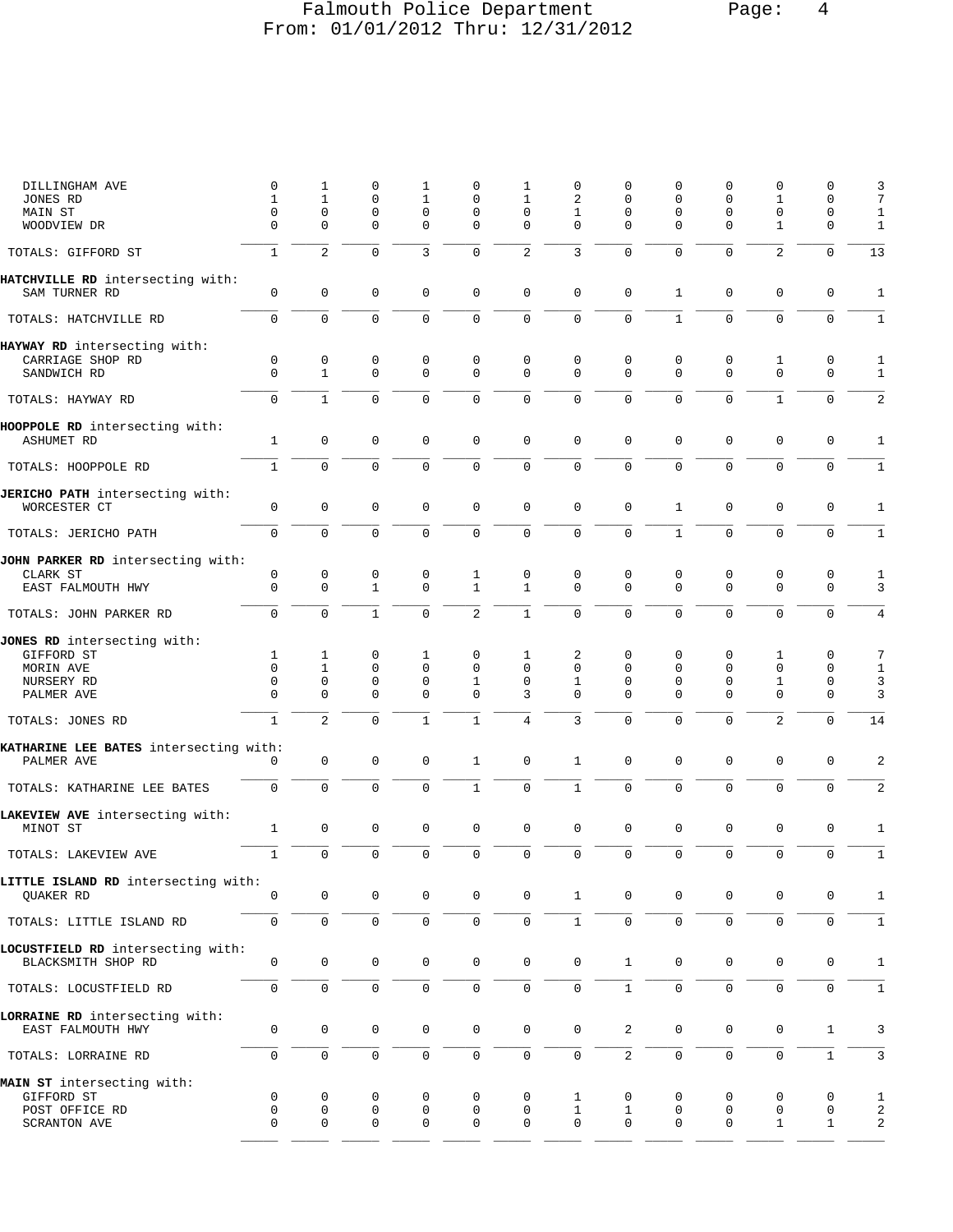# Falmouth Police Department Page: 4 From: 01/01/2012 Thru: 12/31/2012

| DILLINGHAM AVE<br>JONES RD<br>MAIN ST                                              | $\mathbf 0$<br>1<br>0          | 1<br>$\mathbf{1}$<br>0      | 0<br>$\mathbf 0$<br>0                          | 1<br>$\mathbf{1}$<br>0     | 0<br>0<br>0                 | 1<br>1<br>0             | 0<br>2<br>1                                  | O<br>0<br>0                       | 0<br>$\mathbf 0$<br>$\mathbf 0$ | 0<br>0<br>0             | 0<br>1<br>0                          | 0<br>0<br>0                          | 3<br>7<br>1                            |
|------------------------------------------------------------------------------------|--------------------------------|-----------------------------|------------------------------------------------|----------------------------|-----------------------------|-------------------------|----------------------------------------------|-----------------------------------|---------------------------------|-------------------------|--------------------------------------|--------------------------------------|----------------------------------------|
| WOODVIEW DR                                                                        | 0                              | $\Omega$                    | $\mathbf 0$                                    | $\mathbf 0$                | 0                           | $\Omega$                | $\Omega$                                     | $\mathbf 0$                       | $\mathbf 0$                     | $\Omega$                | $\mathbf{1}$                         | $\mathbf 0$                          | $\mathbf{1}$                           |
| TOTALS: GIFFORD ST                                                                 | $\mathbf{1}$                   | $\overline{c}$              | $\mathsf{O}\xspace$                            | 3                          | $\mathbf 0$                 | $\overline{\mathbf{c}}$ | 3                                            | 0                                 | 0                               | 0                       | $\overline{2}$                       | $\mathsf 0$                          | 13                                     |
| HATCHVILLE RD intersecting with:<br>SAM TURNER RD                                  | 0                              | $\mathbf 0$                 | $\mathbf 0$                                    | 0                          | 0                           | $\mathbf 0$             | $\mathbf 0$                                  | $\mathbf 0$                       | 1                               | 0                       | $\mathbf 0$                          | 0                                    | 1                                      |
| TOTALS: HATCHVILLE RD                                                              | $\mathbf 0$                    | 0                           | $\mathbf 0$                                    | 0                          | $\mathbf 0$                 | $\mathbf 0$             | $\mathbf 0$                                  | $\mathbf 0$                       | $\mathbf{1}$                    | $\mathbf 0$             | $\mathbf 0$                          | $\mathbf 0$                          | $\mathbf{1}$                           |
| HAYWAY RD intersecting with:<br>CARRIAGE SHOP RD<br>SANDWICH RD                    | 0<br>$\Omega$                  | 0<br>$\mathbf{1}$           | 0<br>$\mathbf 0$                               | 0<br>$\Omega$              | 0<br>$\Omega$               | 0<br>$\Omega$           | 0<br>$\Omega$                                | 0<br>$\Omega$                     | 0<br>$\Omega$                   | 0<br>$\Omega$           | 1<br>$\Omega$                        | 0<br>$\mathbf 0$                     | 1<br>1                                 |
| TOTALS: HAYWAY RD                                                                  | $\mathbf 0$                    | $\mathbf{1}$                | $\mathbf 0$                                    | 0                          | $\mathbf 0$                 | $\mathsf 0$             | $\mathbf 0$                                  | $\mathbf 0$                       | $\mathbf 0$                     | $\mathbf 0$             | $\mathbf{1}$                         | 0                                    | 2                                      |
| HOOPPOLE RD intersecting with:<br><b>ASHUMET RD</b>                                | 1                              | $\mathbf 0$                 | $\mathbf 0$                                    | $\mathbf 0$                | 0                           | $\mathbf 0$             | $\mathbf 0$                                  | $\mathbf 0$                       | 0                               | $\mathbf 0$             | $\mathbf 0$                          | 0                                    | 1                                      |
| TOTALS: HOOPPOLE RD                                                                | $\mathbf{1}$                   | $\Omega$                    | $\mathbf 0$                                    | $\Omega$                   | $\Omega$                    | $\mathbf 0$             | $\mathbf{0}$                                 | $\Omega$                          | $\Omega$                        | $\Omega$                | $\mathbf 0$                          | $\mathbf 0$                          | $\mathbf{1}$                           |
| JERICHO PATH intersecting with:<br>WORCESTER CT                                    | $\mathbf 0$                    | $\mathbf 0$                 | $\mathbf 0$                                    | 0                          | 0                           | $\mathbf 0$             | $\mathbf 0$                                  | $\mathsf 0$                       | 1                               | 0                       | $\mathbf 0$                          | 0                                    | 1                                      |
| TOTALS: JERICHO PATH                                                               | $\mathbf 0$                    | $\mathbf 0$                 | $\mathbf 0$                                    | 0                          | 0                           | $\mathbf 0$             | $\mathsf 0$                                  | $\mathbf 0$                       | $\mathbf{1}$                    | $\mathbf 0$             | $\mathbf 0$                          | $\mathbf 0$                          | $1\,$                                  |
| JOHN PARKER RD intersecting with:<br>CLARK ST                                      | 0                              | 0                           | $\mathsf 0$                                    | 0                          | $\mathbf{1}$                | $\mathbf 0$             | 0                                            | 0                                 | 0                               | $\mathbf 0$             | 0                                    | 0                                    | 1                                      |
| EAST FALMOUTH HWY                                                                  | $\mathbf 0$                    | $\mathbf 0$                 | $\mathbf{1}$                                   | $\mathbf 0$                | $\mathbf{1}$                | $\mathbf{1}$            | $\mathbf{0}$                                 | $\mathbf 0$                       | $\mathbf 0$                     | $\mathbf 0$             | $\mathbf 0$                          | $\mathbf 0$                          | 3                                      |
| TOTALS: JOHN PARKER RD                                                             | 0                              | $\Omega$                    | $\mathbf{1}$                                   | $\Omega$                   | $\overline{c}$              | $\mathbf{1}$            | $\mathbf 0$                                  | $\Omega$                          | $\Omega$                        | $\Omega$                | $\mathbf 0$                          | $\mathbf 0$                          | $\overline{4}$                         |
| JONES RD intersecting with:<br>GIFFORD ST<br>MORIN AVE<br>NURSERY RD<br>PALMER AVE | 1<br>$\Omega$<br>$\Omega$<br>0 | 1<br>1<br>$\mathbf{0}$<br>0 | 0<br>$\mathbf 0$<br>$\mathbf 0$<br>$\mathbf 0$ | 1<br>$\mathbf 0$<br>0<br>0 | 0<br>0<br>$\mathbf{1}$<br>0 | 1<br>0<br>0<br>3        | 2<br>$\mathbf 0$<br>$\mathbf{1}$<br>$\Omega$ | 0<br>$\mathbf 0$<br>$\Omega$<br>0 | 0<br>$\mathbf 0$<br>0<br>0      | 0<br>0<br>$\Omega$<br>0 | 1<br>$\mathbf 0$<br>1<br>$\mathbf 0$ | 0<br>0<br>$\mathbf 0$<br>$\mathsf 0$ | 7<br>$\mathbf{1}$<br>$\mathbf{3}$<br>3 |
| TOTALS: JONES RD                                                                   | 1                              | $\overline{c}$              | $\mathbf 0$                                    | $\mathbf{1}$               | $\mathbf 1$                 | 4                       | 3                                            | 0                                 | 0                               | $\mathbf 0$             | $\mathbf{2}$                         | $\mathbf 0$                          | 14                                     |
| KATHARINE LEE BATES intersecting with:<br>PALMER AVE                               | 0                              | 0                           | $\mathbf 0$                                    | 0                          | $\mathbf{1}$                | $\mathbf 0$             | $\mathbf{1}$                                 | $\mathbf 0$                       | 0                               | $\mathbf 0$             | $\mathbf 0$                          | 0                                    | $\overline{a}$                         |
| TOTALS: KATHARINE LEE BATES                                                        | $\mathsf{O}\xspace$            | $\mathbf 0$                 | $\mathbf 0$                                    | $\mathbf 0$                | $\mathbf{1}$                | $\mathsf 0$             | $1\,$                                        | $\mathsf{O}\xspace$               | $\mathsf 0$                     | $\mathbf 0$             | $\mathbf 0$                          | 0                                    | $\sqrt{2}$                             |
| LAKEVIEW AVE intersecting with:<br>MINOT ST                                        | 1                              | $\mathsf 0$                 | $\mathbf 0$                                    | $\mathbf 0$                | 0                           | $\mathbf 0$             | $\mathbf 0$                                  | $\mathbf 0$                       | 0                               | $\mathbf 0$             | $\mathbf 0$                          | 0                                    | 1                                      |
| TOTALS: LAKEVIEW AVE                                                               | 1                              | $\mathbf 0$                 | $\mathbf 0$                                    | 0                          | $\overline{0}$              | $\mathbf 0$             | $\mathbf 0$                                  | $\mathbf 0$                       | $\mathbf 0$                     | $\mathbf 0$             | $\mathbf 0$                          | $\mathbf 0$                          | 1                                      |
| LITTLE ISLAND RD intersecting with:<br>QUAKER RD                                   | 0                              | 0                           | $\mathbf 0$                                    | 0                          | 0                           | 0                       | $\mathbf{1}$                                 | $\mathbf 0$                       | $\mathbf 0$                     | 0                       | $\mathbf 0$                          | 0                                    | 1                                      |
| TOTALS: LITTLE ISLAND RD                                                           | $\mathsf{O}\xspace$            | $\mathbf 0$                 | $\mathbf 0$                                    | 0                          | 0                           | $\mathbf 0$             | $\mathbf{1}$                                 | $\mathbf 0$                       | $\mathbf 0$                     | $\mathbf 0$             | $\mathbf 0$                          | $\mathbf 0$                          | $\mathbf{1}$                           |
| LOCUSTFIELD RD intersecting with:<br>BLACKSMITH SHOP RD                            | 0                              | $\mathbf 0$                 | $\mathbf 0$                                    | 0                          | 0                           | $\mathsf{O}\xspace$     | $\mathsf 0$                                  | $\mathbf{1}$                      | 0                               | 0                       | $\mathbf 0$                          | 0                                    | $\mathbf{1}$                           |
| TOTALS: LOCUSTFIELD RD                                                             | $\mathsf{O}\xspace$            | $\mathbf 0$                 | $\mathsf 0$                                    | 0                          | 0                           | $\mathsf{O}\xspace$     | $\mathbf 0$                                  | $\mathbf{1}$                      | $\mathsf{O}\xspace$             | $\mathbf 0$             | $\mathsf{O}\xspace$                  | $\mathbf 0$                          | $\mathbf{1}$                           |
| LORRAINE RD intersecting with:<br>EAST FALMOUTH HWY                                | 0                              | $\mathbf 0$                 | $\mathbf 0$                                    | 0                          | 0                           | $\mathsf{O}$            | $\mathbf 0$                                  | $\overline{a}$                    | 0                               | 0                       | $\mathbf 0$                          | $\mathbf{1}$                         | 3                                      |
| TOTALS: LORRAINE RD                                                                | 0                              | $\mathsf{O}\xspace$         | $\mathsf 0$                                    | 0                          | 0                           | $\mathsf{O}\xspace$     | $\mathbf 0$                                  | $\overline{a}$                    | $\mathbf 0$                     | $\mathbf 0$             | $\mathsf 0$                          | $\mathbf{1}$                         | $\mathbf{3}$                           |
| MAIN ST intersecting with:<br>GIFFORD ST<br>POST OFFICE RD<br>SCRANTON AVE         | 0<br>0<br>0                    | 0<br>0<br>0                 | 0<br>0<br>$\mathbf 0$                          | 0<br>0<br>0                | 0<br>0<br>0                 | $\mathbf 0$<br>0<br>0   | 1<br>$1\,$<br>$\mathsf 0$                    | 0<br>$\mathbf{1}$<br>0            | 0<br>0<br>$\mathbf 0$           | 0<br>0<br>0             | 0<br>0<br>1                          | 0<br>0<br>$\mathbf{1}$               | $\mathbf{1}$<br>2<br>2                 |
|                                                                                    |                                |                             |                                                |                            |                             |                         |                                              |                                   |                                 |                         |                                      |                                      |                                        |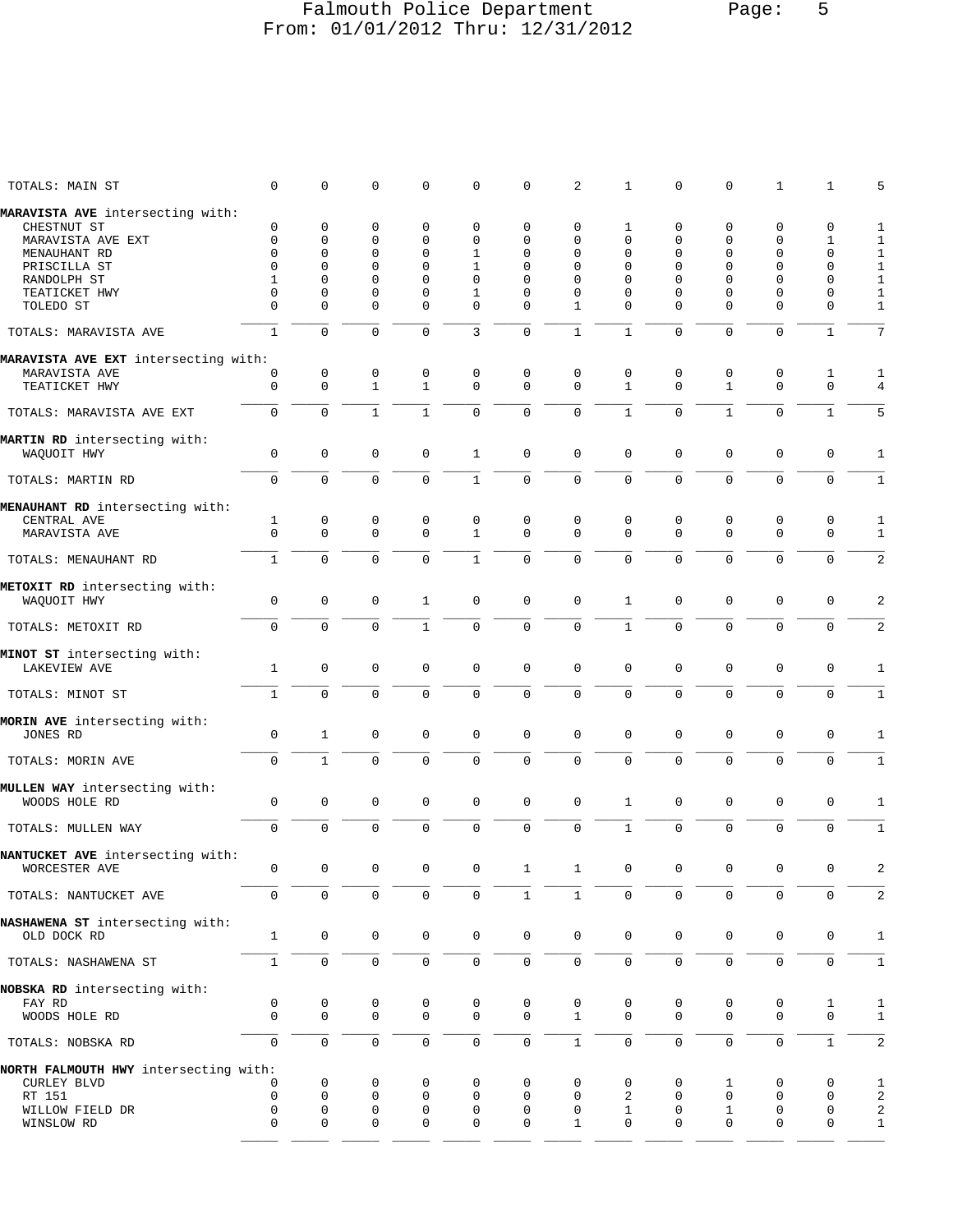### Falmouth Police Department Page: 5 From: 01/01/2012 Thru: 12/31/2012

| TOTALS: MAIN ST                                | 0                   | 0                   | 0            | 0                   | 0                   | 0              | 2            | $\mathbf{1}$        | 0                   | 0                   | $\mathbf{1}$ | 1            | 5                |
|------------------------------------------------|---------------------|---------------------|--------------|---------------------|---------------------|----------------|--------------|---------------------|---------------------|---------------------|--------------|--------------|------------------|
| MARAVISTA AVE intersecting with:               |                     |                     |              |                     |                     |                |              |                     |                     |                     |              |              |                  |
| CHESTNUT ST                                    | $\mathbf 0$         | $\mathbf 0$         | 0            | $\mathbf{0}$        | $\mathbf{0}$        | 0              | $\mathbf 0$  | 1                   | $\mathbf 0$         | 0                   | $\mathbf 0$  | 0            | $\mathbf{1}$     |
| MARAVISTA AVE EXT                              | 0                   | $\mathbf 0$         | 0            | $\mathbf 0$         | 0                   | 0              | 0            | $\mathbf{0}$        | 0                   | 0                   | 0            | 1            | $\mathbf{1}$     |
| MENAUHANT RD                                   | $\mathbf 0$         | $\mathbf 0$         | 0            | $\Omega$            | 1                   | 0              | $\Omega$     | $\mathbf{0}$        | $\Omega$            | $\mathbf 0$         | 0            | 0            | $\mathbf{1}$     |
| PRISCILLA ST                                   | $\mathbf 0$         | $\mathbf 0$         | $\mathbf 0$  | $\mathbf{0}$        | $\mathbf 1$         | $\mathbf 0$    | $\Omega$     | $\mathbf 0$         | 0                   | $\mathbf 0$         | 0            | 0            | $\mathbf{1}$     |
| RANDOLPH ST                                    | 1                   | $\mathbf 0$         | $\Omega$     | $\Omega$            | $\Omega$            | $\Omega$       | $\Omega$     | $\Omega$            | $\Omega$            | $\Omega$            | 0            | 0            | $\mathbf{1}$     |
| TEATICKET HWY                                  | $\mathbf 0$         | $\mathbf{0}$        | $\Omega$     | $\mathbf 0$         | $\mathbf{1}$        | 0              | $\Omega$     | $\mathbf{0}$        | 0                   | $\mathbf 0$         | 0            | 0            | $\mathbf{1}$     |
| TOLEDO ST                                      | $\Omega$            | $\Omega$            | $\Omega$     | $\mathbf{0}$        | $\mathbf{0}$        | $\Omega$       | $\mathbf{1}$ | $\Omega$            | $\Omega$            | $\Omega$            | $\Omega$     | 0            | $\mathbf{1}$     |
| TOTALS: MARAVISTA AVE                          | $\mathbf{1}$        | $\mathbf 0$         | $\Omega$     | $\mathbf 0$         | 3                   | $\mathbf 0$    | $\mathbf{1}$ | $\mathbf{1}$        | $\Omega$            | $\Omega$            | $\Omega$     | $\mathbf{1}$ | 7                |
| MARAVISTA AVE EXT intersecting with:           |                     |                     |              |                     |                     |                |              |                     |                     |                     |              |              |                  |
| MARAVISTA AVE                                  | 0                   | 0                   | 0            | 0                   | $\mathbf 0$         | 0              | $\mathbf 0$  | 0                   | 0                   | 0                   | 0            | 1            | 1                |
| TEATICKET HWY                                  | $\mathbf 0$         | $\mathbf 0$         | $\mathbf{1}$ | $\mathbf{1}$        | $\Omega$            | $\Omega$       | $\Omega$     | $\mathbf{1}$        | $\mathbf 0$         | $\mathbf{1}$        | $\Omega$     | $\Omega$     | 4                |
| TOTALS: MARAVISTA AVE EXT                      | $\mathbf 0$         | $\mathbf 0$         | $\mathbf{1}$ | $\mathbf{1}$        | $\mathbf 0$         | $\mathbf 0$    | $\mathbf 0$  | $\mathbf{1}$        | $\mathbf 0$         | $\mathbf{1}$        | 0            | $\mathbf{1}$ | 5                |
| MARTIN RD intersecting with:                   |                     |                     |              |                     |                     |                |              |                     |                     |                     |              |              |                  |
| WAQUOIT HWY                                    | $\mathbf 0$         | $\mathbf 0$         | $\mathbf 0$  | $\mathbf 0$         | $\mathbf{1}$        | $\mathbf 0$    | $\mathbf 0$  | $\mathbf 0$         | $\mathbf 0$         | $\mathbf{0}$        | $\mathbf 0$  | 0            | $\mathbf{1}$     |
| TOTALS: MARTIN RD                              | $\mathbf 0$         | $\mathbf 0$         | $\Omega$     | $\mathbf 0$         | $\mathbf{1}$        | $\overline{0}$ | $\mathbf 0$  | $\mathbf 0$         | $\Omega$            | $\Omega$            | $\Omega$     | 0            | $\mathbf{1}$     |
| MENAUHANT RD intersecting with:                |                     |                     |              |                     |                     |                |              |                     |                     |                     |              |              |                  |
| CENTRAL AVE                                    | $\mathbf{1}$        | 0                   | 0            | 0                   | 0                   | 0              | 0            | 0                   | 0                   | 0                   | 0            | 0            | 1                |
| MARAVISTA AVE                                  | $\mathbf 0$         | $\mathbf 0$         | $\mathbf 0$  | $\Omega$            | $\mathbf{1}$        | $\Omega$       | $\Omega$     | $\Omega$            | $\Omega$            | $\mathbf 0$         | 0            | 0            | $\mathbf{1}$     |
| TOTALS: MENAUHANT RD                           | $\mathbf{1}$        | $\mathbf 0$         | $\mathbf 0$  | $\mathbf 0$         | $\mathbf{1}$        | $\mathsf 0$    | 0            | $\mathbf 0$         | $\mathbf 0$         | $\mathbf{0}$        | 0            | 0            | 2                |
| METOXIT RD intersecting with:                  |                     |                     |              |                     |                     |                |              |                     |                     |                     |              |              |                  |
| WAQUOIT HWY                                    | $\mathbf 0$         | $\mathbf 0$         | $\mathbf 0$  | $\mathbf{1}$        | $\mathbf 0$         | $\mathbf 0$    | $\mathbf 0$  | $\mathbf{1}$        | $\mathbf 0$         | $\mathbf{0}$        | $\mathbf 0$  | 0            | $\overline{2}$   |
| TOTALS: METOXIT RD                             | $\mathbf 0$         | $\mathbf 0$         | $\mathbf 0$  | $\mathbf{1}$        | $\mathsf{O}\xspace$ | $\mathsf 0$    | $\mathsf{O}$ | $1\,$               | $\mathbf 0$         | $\mathbf 0$         | $\mathbf 0$  | 0            | $\overline{a}$   |
| MINOT ST intersecting with:                    |                     |                     |              |                     |                     |                |              |                     |                     |                     |              |              |                  |
| <b>LAKEVIEW AVE</b>                            | $\mathbf{1}$        | $\mathbf 0$         | 0            | $\mathbf 0$         | $\mathbf 0$         | $\mathbf 0$    | $\mathbf 0$  | $\mathbf 0$         | $\mathbf 0$         | $\mathbf{0}$        | $\mathbf 0$  | 0            | 1                |
| TOTALS: MINOT ST                               | $\mathbf{1}$        | $\mathbf 0$         | $\Omega$     | $\mathbf 0$         | $\mathbf 0$         | $\mathbf 0$    | $\mathbf 0$  | $\mathbf 0$         | $\mathbf 0$         | $\Omega$            | $\Omega$     | 0            | $\mathbf{1}$     |
| MORIN AVE intersecting with:                   |                     |                     |              |                     |                     |                |              |                     |                     |                     |              |              |                  |
| JONES RD                                       | $\mathbf 0$         | 1                   | 0            | $\mathbf{0}$        | $\mathbf{0}$        | $\mathbf 0$    | $\mathbf 0$  | $\mathbf{0}$        | $\mathbf 0$         | $\mathbf 0$         | 0            | 0            | 1                |
| TOTALS: MORIN AVE                              | $\mathbf 0$         | $\mathbf{1}$        | $\Omega$     | $\mathbf 0$         | $\mathbf 0$         | $\mathbf 0$    | $\mathbf 0$  | $\mathbf 0$         | $\mathbf 0$         | $\mathbf{0}$        | $\Omega$     | 0            | $\mathbf{1}$     |
| MULLEN WAY intersecting with:                  |                     |                     |              |                     |                     |                |              |                     |                     |                     |              |              |                  |
| WOODS HOLE RD                                  | $\mathbf 0$         | $\mathbf 0$         | $\mathbf 0$  | $\mathbf 0$         | $\mathbf 0$         | $\mathbf 0$    | $\mathbf 0$  | $\mathbf{1}$        | 0                   | $\mathbf 0$         | 0            | 0            | 1                |
| TOTALS: MULLEN WAY                             | $\mathbf 0$         | $\mathbf 0$         | $\mathbf 0$  | $\mathbf 0$         | $\mathbf 0$         | $\mathbf 0$    | $\Omega$     | $\mathbf{1}$        | $\mathbf 0$         | $\mathbf{0}$        | 0            | 0            | $\mathbf{1}$     |
| NANTUCKET AVE intersecting with:               | 0                   | $\mathbf 0$         | 0            | $\mathbf 0$         | $\mathsf{O}\xspace$ | $\mathbf 1$    |              |                     | 0                   | $\mathsf 0$         | 0            | 0            | 2                |
| WORCESTER AVE                                  |                     |                     |              |                     |                     |                | $\mathbf 1$  | 0                   |                     |                     |              |              |                  |
| TOTALS: NANTUCKET AVE                          | $\mathsf{O}\xspace$ | $\mathsf 0$         | 0            | $\mathbf 0$         | $\mathbf 0$         | $\mathbf{1}$   | $\mathbf{1}$ | $\mathsf{O}\xspace$ | 0                   | $\mathsf 0$         | 0            | 0            | $\overline{a}$   |
| NASHAWENA ST intersecting with:<br>OLD DOCK RD | $\mathbf{1}$        | $\mathbf 0$         | $\mathsf{O}$ | $\mathsf{O}\xspace$ | $\mathsf{O}\xspace$ | $\mathsf 0$    | 0            | $\mathsf{O}\xspace$ | $\mathsf{O}\xspace$ | $\mathbb O$         | $\mathbf 0$  | $\mathbf 0$  | $\mathbf 1$      |
|                                                |                     |                     |              |                     |                     |                |              |                     |                     |                     |              |              |                  |
| TOTALS: NASHAWENA ST                           | $\mathbf{1}$        | $\mathsf 0$         | $\mathsf{O}$ | $\mathbf 0$         | $\mathsf{O}$        | $\mathsf 0$    | $\mathsf{O}$ | $\mathsf{O}$        | $\mathsf{O}$        | $\mathsf{O}\xspace$ | $\mathsf{O}$ | $\mathsf{O}$ | $\mathbf 1$      |
| NOBSKA RD intersecting with:<br>FAY RD         | $\mathsf{O}\xspace$ | 0                   | 0            | 0                   | 0                   | 0              | 0            | 0                   | 0                   | 0                   | 0            | $\mathbf{1}$ | $\mathbf{1}$     |
| WOODS HOLE RD                                  | $\mathbf 0$         | $\mathbf 0$         | $\mathbf 0$  | 0                   | $\mathbf 0$         | $\mathbf 0$    | $\mathbf{1}$ | $\mathbf 0$         | $\mathbf 0$         | $\mathbf 0$         | $\mathbf 0$  | $\mathsf 0$  | $\mathbf{1}$     |
| TOTALS: NOBSKA RD                              | $\mathbf 0$         | $\mathsf{O}\xspace$ | $\mathbf 0$  | $\mathbf 0$         | $\mathsf{O}$        | $\mathbf 0$    | $\mathbf{1}$ | $\mathbf 0$         | $\mathbf 0$         | $\mathbf 0$         | 0            | $\mathbf{1}$ | $\sqrt{2}$       |
| NORTH FALMOUTH HWY intersecting with:          |                     |                     |              |                     |                     |                |              |                     |                     |                     |              |              |                  |
| CURLEY BLVD                                    | 0                   | 0                   | 0            | 0                   | 0                   | 0              | 0            | 0                   | 0                   | 1                   | 0            | 0            | $\mathbf{1}$     |
| RT 151                                         | $\mathbf 0$         | $\mathbf 0$         | 0            | 0                   | 0                   | 0              | 0            | 2                   | 0                   | 0                   | 0            | 0            | 2                |
| WILLOW FIELD DR                                | $\mathbf 0$         | 0                   | 0            | 0                   | 0                   | 0              | $\mathbf 0$  | $\mathbf{1}$        | 0                   | 1                   | 0            | 0            | $\boldsymbol{2}$ |
| WINSLOW RD                                     | $\mathbf 0$         | $\mathbf 0$         | $\mathbf 0$  | 0                   | 0                   | $\mathbf 0$    | $\mathbf{1}$ | $\mathbf 0$         | $\mathbf 0$         | $\mathbf 0$         | $\mathbf 0$  | 0            | $\mathbf{1}$     |
|                                                |                     |                     |              |                     |                     |                |              |                     |                     |                     |              |              |                  |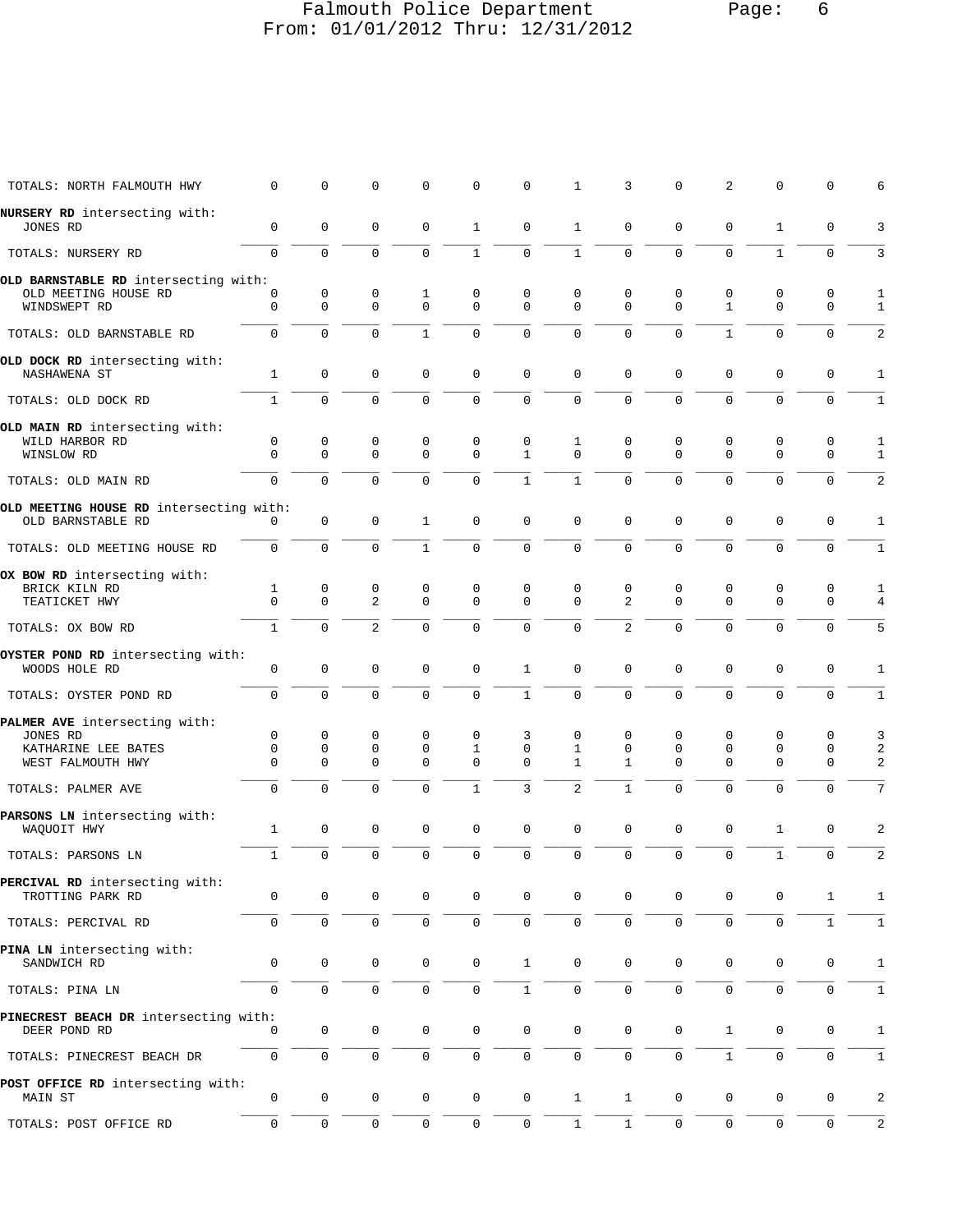### Falmouth Police Department Page: 6 From: 01/01/2012 Thru: 12/31/2012

| TOTALS: NORTH FALMOUTH HWY                                                            | $\Omega$           | $\Omega$            | $\Omega$            | $\Omega$                     | $\Omega$                     | $\Omega$                   | 1                                | 3                                | 0                                      | 2                 | $\Omega$                     | $\Omega$         | 6                 |
|---------------------------------------------------------------------------------------|--------------------|---------------------|---------------------|------------------------------|------------------------------|----------------------------|----------------------------------|----------------------------------|----------------------------------------|-------------------|------------------------------|------------------|-------------------|
| NURSERY RD intersecting with:<br>JONES RD                                             | 0                  | $\mathbf 0$         | $\mathbf 0$         | $\mathbf 0$                  | $\mathbf{1}$                 | $\mathbf 0$                | $\mathbf{1}$                     | $\mathbf 0$                      | $\mathbf 0$                            | $\mathbf 0$       | 1                            | 0                | 3                 |
| TOTALS: NURSERY RD                                                                    | 0                  | $\mathbf 0$         | $\mathbf 0$         | $\mathbf 0$                  | $\mathbf{1}$                 | $\mathbf 0$                | $\mathbf{1}$                     | $\mathbf 0$                      | $\mathbf 0$                            | $\mathbf 0$       | $\mathbf{1}$                 | 0                | 3                 |
| OLD BARNSTABLE RD intersecting with:<br>OLD MEETING HOUSE RD<br>WINDSWEPT RD          | 0<br>$\mathbf 0$   | 0<br>$\mathbf 0$    | 0<br>$\Omega$       | 1<br>$\mathbf 0$             | 0<br>$\Omega$                | 0<br>$\Omega$              | $\mathbf 0$<br>$\Omega$          | 0<br>$\Omega$                    | $\mathbf 0$<br>$\mathbf 0$             | 0<br>$\mathbf{1}$ | 0<br>$\mathbf 0$             | 0<br>$\mathbf 0$ | 1<br>$\mathbf{1}$ |
| TOTALS: OLD BARNSTABLE RD                                                             | $\mathbf 0$        | $\mathbf 0$         | $\Omega$            | 1                            | $\Omega$                     | $\mathbf 0$                | $\Omega$                         | $\Omega$                         | $\Omega$                               | $\mathbf{1}$      | $\Omega$                     | 0                | 2                 |
| OLD DOCK RD intersecting with:<br>NASHAWENA ST                                        | $\mathbf{1}$       | $\mathbf 0$         | $\mathbf 0$         | $\mathbf 0$                  | $\mathsf 0$                  | $\mathbf 0$                | $\mathbf 0$                      | $\mathbf 0$                      | $\mathbf 0$                            | $\mathbf 0$       | $\mathbf 0$                  | 0                | $\mathbf{1}$      |
| TOTALS: OLD DOCK RD                                                                   | $\mathbf{1}$       | $\mathbf 0$         | $\mathbf 0$         | $\mathbf 0$                  | $\mathbf 0$                  | $\mathsf 0$                | $\mathsf 0$                      | $\mathbf 0$                      | $\mathbf 0$                            | $\mathbf 0$       | $\mathbf 0$                  | 0                | $\mathbf{1}$      |
| OLD MAIN RD intersecting with:<br>WILD HARBOR RD<br>WINSLOW RD                        | 0<br>$\Omega$      | 0<br>$\mathbf 0$    | 0<br>$\Omega$       | 0<br>$\Omega$                | 0<br>$\mathbf 0$             | 0<br>$\mathbf{1}$          | 1<br>$\Omega$                    | 0<br>$\Omega$                    | 0<br>$\Omega$                          | 0<br>$\mathbf 0$  | 0<br>$\mathbf 0$             | 0<br>$\mathbf 0$ | 1<br>1            |
| TOTALS: OLD MAIN RD                                                                   | $\mathbf 0$        | $\Omega$            | $\mathbf 0$         | $\Omega$                     | $\Omega$                     | $\mathbf{1}$               | $\mathbf{1}$                     | $\mathbf 0$                      | $\Omega$                               | $\mathbf 0$       | $\mathbf 0$                  | $\mathbf 0$      | 2                 |
| OLD MEETING HOUSE RD intersecting with:<br>OLD BARNSTABLE RD                          | 0                  | $\mathbf 0$         | 0                   | 1                            | $\mathbf{0}$                 | $\mathbf 0$                | $\mathbf 0$                      | $\mathbf 0$                      | $\mathbf 0$                            | $\mathbf 0$       | $\mathbf 0$                  | 0                | 1                 |
| TOTALS: OLD MEETING HOUSE RD                                                          | $\mathbf 0$        | $\mathbf 0$         | $\mathbf 0$         | 1                            | $\mathbf 0$                  | $\mathsf 0$                | $\mathbf 0$                      | $\mathbf 0$                      | $\mathbf 0$                            | $\mathsf 0$       | $\mathbf 0$                  | 0                | $\mathbf{1}$      |
| OX BOW RD intersecting with:<br>BRICK KILN RD<br>TEATICKET HWY                        | 1<br>$\mathbf 0$   | 0<br>$\mathbf 0$    | 0<br>$\overline{a}$ | 0<br>$\Omega$                | $\mathbf 0$<br>$\Omega$      | $\mathbf 0$<br>$\mathbf 0$ | $\mathbf 0$<br>$\Omega$          | 0<br>2                           | $\mathbf 0$<br>$\Omega$                | 0<br>$\mathbf 0$  | $\mathbf 0$<br>$\mathbf 0$   | 0<br>$\mathbf 0$ | 1<br>4            |
| TOTALS: OX BOW RD                                                                     | $\mathbf{1}$       | $\mathbf 0$         | $\overline{a}$      | $\Omega$                     | $\mathbf 0$                  | $\mathbf 0$                | $\mathbf 0$                      | 2                                | $\mathbf 0$                            | $\mathbf 0$       | $\mathbf 0$                  | $\mathbf 0$      | 5                 |
| OYSTER POND RD intersecting with:<br>WOODS HOLE RD                                    | 0                  | 0                   | 0                   | $\mathbf 0$                  | $\mathbf 0$                  | 1                          | $\mathbf 0$                      | $\mathbf 0$                      | $\Omega$                               | 0                 | $\mathbf 0$                  | 0                | 1                 |
| TOTALS: OYSTER POND RD                                                                | $\mathbf 0$        | $\mathbf 0$         | $\mathbf 0$         | $\mathbf 0$                  | $\mathbf 0$                  | $\mathbf{1}$               | $\mathbf 0$                      | $\mathbf 0$                      | $\mathbf 0$                            | $\mathbf 0$       | $\mathbf 0$                  | $\mathbf 0$      | $\mathbf{1}$      |
| PALMER AVE intersecting with:<br>JONES RD<br>KATHARINE LEE BATES<br>WEST FALMOUTH HWY | 0<br>0<br>$\Omega$ | 0<br>0<br>0         | 0<br>0<br>$\Omega$  | $\mathbf 0$<br>0<br>$\Omega$ | $\mathbf 0$<br>1<br>$\Omega$ | 3<br>0<br>$\mathbf 0$      | $\mathbf 0$<br>1<br>$\mathbf{1}$ | $\mathbf 0$<br>0<br>$\mathbf{1}$ | $\mathbf 0$<br>$\mathbf 0$<br>$\Omega$ | 0<br>0<br>0       | $\mathbf 0$<br>0<br>$\Omega$ | 0<br>0<br>0      | 3<br>2<br>2       |
| TOTALS: PALMER AVE                                                                    | $\mathbf 0$        | $\mathbf 0$         | $\mathbf 0$         | $\mathbf 0$                  | $\mathbf{1}$                 | 3                          | 2                                | $\mathbf{1}$                     | $\Omega$                               | $\mathbf 0$       | $\mathbf 0$                  | $\mathbf 0$      | 7                 |
| PARSONS LN intersecting with:<br>WAQUOIT HWY                                          | 1                  | $\mathbf 0$         | $\mathbf 0$         | $\mathbf 0$                  | $\mathsf 0$                  | $\mathbf 0$                | $\mathbf 0$                      | $\mathbf 0$                      | $\mathbf 0$                            | $\mathbf 0$       | 1                            | 0                | 2                 |
| TOTALS: PARSONS LN                                                                    | $\mathbf{1}$       | $\mathbf 0$         | $\Omega$            | $\mathbf 0$                  | $\mathbf 0$                  | $\mathbf 0$                | $\mathbf 0$                      | $\mathbf 0$                      | $\mathbf 0$                            | $\mathbf 0$       | $\mathbf{1}$                 | $\mathbf 0$      | 2                 |
| PERCIVAL RD intersecting with:<br>TROTTING PARK RD                                    | 0                  | $\mathbf 0$         | 0                   | 0                            | $\mathbf 0$                  | $\mathbf 0$                | $\mathbf 0$                      | $\mathbf 0$                      | 0                                      | 0                 | 0                            | 1                | 1                 |
| TOTALS: PERCIVAL RD                                                                   | 0                  | $\mathbf 0$         | $\mathsf 0$         | $\mathbf 0$                  | $\mathbf 0$                  | $\mathbf 0$                | $\mathbf 0$                      | $\mathbf 0$                      | $\mathbf 0$                            | $\mathbf 0$       | $\mathbf 0$                  | $\mathbf{1}$     | $\mathbf{1}$      |
| PINA LN intersecting with:<br>SANDWICH RD                                             | 0                  | $\mathbf 0$         | $\mathbf 0$         | 0                            | 0                            | $\mathbf{1}$               | $\mathbf 0$                      | 0                                | 0                                      | $\mathbf 0$       | 0                            | 0                | 1                 |
| TOTALS: PINA LN                                                                       | 0                  | $\mathsf{O}\xspace$ | $\mathsf{O}\xspace$ | $\mathbf 0$                  | $\mathbf 0$                  | $\mathbf 1$                | $\mathbf 0$                      | $\mathbf 0$                      | $\mathsf{O}\xspace$                    | $\mathsf 0$       | $\mathsf{O}\xspace$          | $\mathsf 0$      | $\mathbf{1}$      |
| PINECREST BEACH DR intersecting with:<br>DEER POND RD                                 | 0                  | $\mathbf 0$         | 0                   | 0                            | 0                            | $\mathsf 0$                | $\mathbf 0$                      | $\mathbf 0$                      | $\mathbf 0$                            | $\mathbf{1}$      | 0                            | 0                | 1                 |
| TOTALS: PINECREST BEACH DR                                                            | $\mathsf{O}$       | $\mathbf 0$         | 0                   | 0                            | 0                            | $\mathbf 0$                | 0                                | $\mathbf 0$                      | $\mathbf 0$                            | $\mathbf{1}$      | 0                            | 0                | 1                 |
| POST OFFICE RD intersecting with:<br>MAIN ST                                          | 0                  | $\mathbf 0$         | 0                   | 0                            | 0                            | $\mathbf 0$                | $\mathbf{1}$                     | $\mathbf{1}$                     | $\mathbf 0$                            | 0                 | 0                            | 0                | 2                 |
| TOTALS: POST OFFICE RD                                                                | 0                  | $\mathsf{O}\xspace$ | 0                   | $\mathbf 0$                  | $\mathsf{O}$                 | $\mathsf{O}\xspace$        | $\mathbf{1}$                     | $\mathbf{1}$                     | $\mathbf 0$                            | $\mathbf 0$       | $\mathbf 0$                  | 0                | $\overline{a}$    |
|                                                                                       |                    |                     |                     |                              |                              |                            |                                  |                                  |                                        |                   |                              |                  |                   |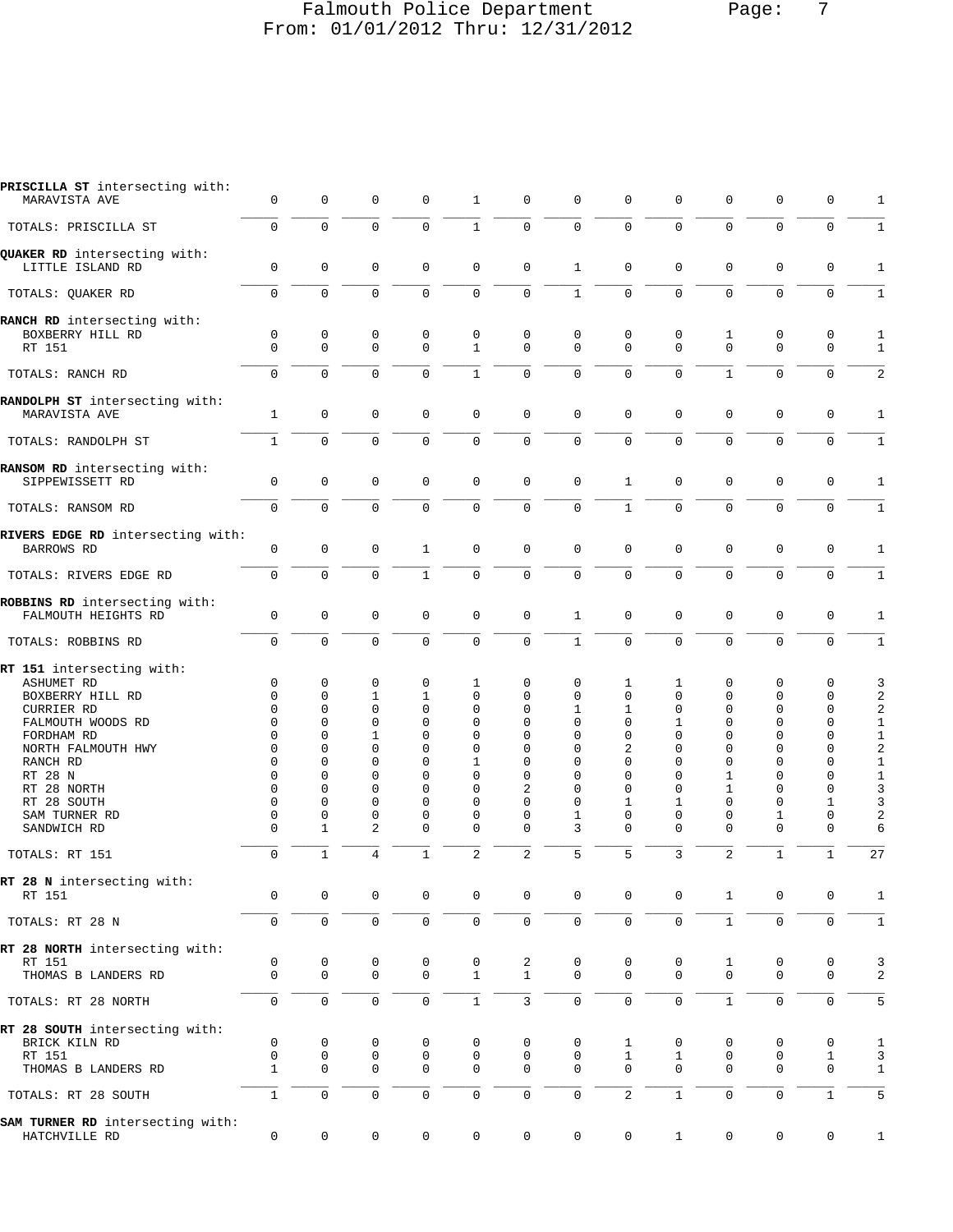## Falmouth Police Department Page: 7 From: 01/01/2012 Thru: 12/31/2012

| PRISCILLA ST intersecting with:<br>MARAVISTA AVE                                                                                                                                                         | 0                                                                                                                                               | 0                                                                                                                           | 0                                                                                                                                 | $\mathbf 0$                                                                                                                              | 1                                                                                                                       | 0                                                                                                 | $\mathbf 0$                                                                                                                              | $\mathbf 0$                                                                                                                              | 0                                                                                                                       | $\mathbf 0$                                                                                                                          | $\mathbf 0$                                                                                                                              | 0                                                                                                                           | 1                                                                                                                                                    |
|----------------------------------------------------------------------------------------------------------------------------------------------------------------------------------------------------------|-------------------------------------------------------------------------------------------------------------------------------------------------|-----------------------------------------------------------------------------------------------------------------------------|-----------------------------------------------------------------------------------------------------------------------------------|------------------------------------------------------------------------------------------------------------------------------------------|-------------------------------------------------------------------------------------------------------------------------|---------------------------------------------------------------------------------------------------|------------------------------------------------------------------------------------------------------------------------------------------|------------------------------------------------------------------------------------------------------------------------------------------|-------------------------------------------------------------------------------------------------------------------------|--------------------------------------------------------------------------------------------------------------------------------------|------------------------------------------------------------------------------------------------------------------------------------------|-----------------------------------------------------------------------------------------------------------------------------|------------------------------------------------------------------------------------------------------------------------------------------------------|
| TOTALS: PRISCILLA ST                                                                                                                                                                                     | $\Omega$                                                                                                                                        | $\Omega$                                                                                                                    | $\mathbf 0$                                                                                                                       | $\Omega$                                                                                                                                 | $\mathbf{1}$                                                                                                            | $\mathbf 0$                                                                                       | $\mathbf 0$                                                                                                                              | $\Omega$                                                                                                                                 | $\Omega$                                                                                                                | $\Omega$                                                                                                                             | $\Omega$                                                                                                                                 | $\Omega$                                                                                                                    | 1                                                                                                                                                    |
| QUAKER RD intersecting with:<br>LITTLE ISLAND RD                                                                                                                                                         | $\mathbf 0$                                                                                                                                     | $\Omega$                                                                                                                    | $\mathbf 0$                                                                                                                       | $\mathbf 0$                                                                                                                              | 0                                                                                                                       | $\mathbf 0$                                                                                       | 1                                                                                                                                        | $\Omega$                                                                                                                                 | $\mathbf 0$                                                                                                             | $\mathbf 0$                                                                                                                          | $\mathbf 0$                                                                                                                              | 0                                                                                                                           | 1                                                                                                                                                    |
| TOTALS: QUAKER RD                                                                                                                                                                                        | $\mathbf 0$                                                                                                                                     | $\Omega$                                                                                                                    | $\mathbf 0$                                                                                                                       | $\Omega$                                                                                                                                 | 0                                                                                                                       | $\mathbf 0$                                                                                       | $\mathbf{1}$                                                                                                                             | $\Omega$                                                                                                                                 | $\mathbf 0$                                                                                                             | $\mathbf 0$                                                                                                                          | $\mathbf 0$                                                                                                                              | $\mathbf 0$                                                                                                                 | $\mathbf{1}$                                                                                                                                         |
| RANCH RD intersecting with:<br>BOXBERRY HILL RD<br>RT 151                                                                                                                                                | $\mathbf 0$<br>$\Omega$                                                                                                                         | 0<br>$\Omega$                                                                                                               | 0<br>$\Omega$                                                                                                                     | $\mathbf 0$<br>$\Omega$                                                                                                                  | 0<br>$\mathbf{1}$                                                                                                       | 0<br>$\Omega$                                                                                     | $\mathbf 0$<br>$\Omega$                                                                                                                  | 0<br>$\Omega$                                                                                                                            | 0<br>$\Omega$                                                                                                           | 1<br>$\Omega$                                                                                                                        | $\mathbf 0$<br>$\Omega$                                                                                                                  | 0<br>$\mathbf 0$                                                                                                            | 1<br>$\mathbf{1}$                                                                                                                                    |
| TOTALS: RANCH RD                                                                                                                                                                                         | $\mathbf 0$                                                                                                                                     | $\Omega$                                                                                                                    | $\Omega$                                                                                                                          | $\Omega$                                                                                                                                 | $\mathbf{1}$                                                                                                            | $\mathbf 0$                                                                                       | $\mathbf 0$                                                                                                                              | $\Omega$                                                                                                                                 | $\Omega$                                                                                                                | $\mathbf{1}$                                                                                                                         | $\Omega$                                                                                                                                 | $\Omega$                                                                                                                    | 2                                                                                                                                                    |
| RANDOLPH ST intersecting with:<br>MARAVISTA AVE                                                                                                                                                          | 1                                                                                                                                               | $\mathbf 0$                                                                                                                 | $\mathbf 0$                                                                                                                       | $\mathbf 0$                                                                                                                              | $\mathbf 0$                                                                                                             | $\mathbf 0$                                                                                       | $\mathbf 0$                                                                                                                              | $\Omega$                                                                                                                                 | $\mathbf 0$                                                                                                             | $\mathbf 0$                                                                                                                          | $\mathbf 0$                                                                                                                              | 0                                                                                                                           | 1                                                                                                                                                    |
| TOTALS: RANDOLPH ST                                                                                                                                                                                      | $\mathbf{1}$                                                                                                                                    | $\Omega$                                                                                                                    | $\Omega$                                                                                                                          | $\Omega$                                                                                                                                 | 0                                                                                                                       | $\mathbf 0$                                                                                       | $\mathbf 0$                                                                                                                              | $\mathbf 0$                                                                                                                              | $\mathbf 0$                                                                                                             | $\Omega$                                                                                                                             | $\Omega$                                                                                                                                 | $\mathbf 0$                                                                                                                 | $\mathbf{1}$                                                                                                                                         |
| RANSOM RD intersecting with:<br>SIPPEWISSETT RD                                                                                                                                                          | $\mathbf 0$                                                                                                                                     | 0                                                                                                                           | $\mathbf 0$                                                                                                                       | $\mathbf 0$                                                                                                                              | $\mathbf 0$                                                                                                             | 0                                                                                                 | $\mathbf 0$                                                                                                                              | 1                                                                                                                                        | 0                                                                                                                       | $\mathbf 0$                                                                                                                          | $\mathbf 0$                                                                                                                              | 0                                                                                                                           | $\mathbf{1}$                                                                                                                                         |
| TOTALS: RANSOM RD                                                                                                                                                                                        | $\mathbf 0$                                                                                                                                     | $\Omega$                                                                                                                    | $\Omega$                                                                                                                          | $\Omega$                                                                                                                                 | $\Omega$                                                                                                                | $\mathbf 0$                                                                                       | $\mathbf 0$                                                                                                                              | $\mathbf{1}$                                                                                                                             | $\Omega$                                                                                                                | $\Omega$                                                                                                                             | $\Omega$                                                                                                                                 | $\mathbf 0$                                                                                                                 | $\mathbf{1}$                                                                                                                                         |
| RIVERS EDGE RD intersecting with:<br>BARROWS RD                                                                                                                                                          | $\mathbf 0$                                                                                                                                     | 0                                                                                                                           | $\mathbf 0$                                                                                                                       | $\mathbf{1}$                                                                                                                             | 0                                                                                                                       | $\mathbf 0$                                                                                       | $\Omega$                                                                                                                                 | $\Omega$                                                                                                                                 | $\mathbf 0$                                                                                                             | $\mathbf 0$                                                                                                                          | $\mathbf 0$                                                                                                                              | $\mathbf 0$                                                                                                                 | 1                                                                                                                                                    |
| TOTALS: RIVERS EDGE RD                                                                                                                                                                                   | $\mathbf 0$                                                                                                                                     | $\mathbf 0$                                                                                                                 | $\mathbf 0$                                                                                                                       | $\mathbf{1}$                                                                                                                             | 0                                                                                                                       | $\mathbf 0$                                                                                       | $\mathbf 0$                                                                                                                              | $\Omega$                                                                                                                                 | $\mathbf 0$                                                                                                             | $\mathbf 0$                                                                                                                          | $\mathbf 0$                                                                                                                              | $\mathbf 0$                                                                                                                 | $\mathbf{1}$                                                                                                                                         |
| ROBBINS RD intersecting with:<br>FALMOUTH HEIGHTS RD                                                                                                                                                     | $\mathbf 0$                                                                                                                                     | $\mathbf 0$                                                                                                                 | $\mathbf 0$                                                                                                                       | $\mathbf 0$                                                                                                                              | 0                                                                                                                       | $\mathbf 0$                                                                                       | $\mathbf{1}$                                                                                                                             | $\mathbf 0$                                                                                                                              | $\mathbf 0$                                                                                                             | $\mathbf 0$                                                                                                                          | $\mathbf 0$                                                                                                                              | $\mathbf 0$                                                                                                                 | 1                                                                                                                                                    |
| TOTALS: ROBBINS RD                                                                                                                                                                                       | $\Omega$                                                                                                                                        | $\Omega$                                                                                                                    | $\Omega$                                                                                                                          | $\Omega$                                                                                                                                 | $\Omega$                                                                                                                | $\Omega$                                                                                          | $\mathbf{1}$                                                                                                                             | $\Omega$                                                                                                                                 | $\Omega$                                                                                                                | $\Omega$                                                                                                                             | $\Omega$                                                                                                                                 | $\Omega$                                                                                                                    | $\mathbf{1}$                                                                                                                                         |
| RT 151 intersecting with:                                                                                                                                                                                |                                                                                                                                                 |                                                                                                                             |                                                                                                                                   |                                                                                                                                          |                                                                                                                         |                                                                                                   |                                                                                                                                          |                                                                                                                                          |                                                                                                                         |                                                                                                                                      |                                                                                                                                          |                                                                                                                             |                                                                                                                                                      |
| <b>ASHUMET RD</b><br>BOXBERRY HILL RD<br><b>CURRIER RD</b><br>FALMOUTH WOODS RD<br>FORDHAM RD<br>NORTH FALMOUTH HWY<br>RANCH RD<br>RT 28 N<br>RT 28 NORTH<br>RT 28 SOUTH<br>SAM TURNER RD<br>SANDWICH RD | $\mathbf 0$<br>$\Omega$<br>$\Omega$<br>$\Omega$<br>$\Omega$<br>$\Omega$<br>$\Omega$<br>$\Omega$<br>$\Omega$<br>$\Omega$<br>$\Omega$<br>$\Omega$ | 0<br>$\Omega$<br>$\Omega$<br>$\Omega$<br>$\Omega$<br>$\Omega$<br>$\Omega$<br>$\Omega$<br>$\Omega$<br>0<br>0<br>$\mathbf{1}$ | 0<br>1<br>$\Omega$<br>$\Omega$<br>$\mathbf{1}$<br>$\Omega$<br>$\Omega$<br>$\Omega$<br>$\Omega$<br>$\Omega$<br>0<br>$\overline{2}$ | $\mathbf 0$<br>1<br>$\Omega$<br>$\Omega$<br>$\Omega$<br>$\Omega$<br>$\Omega$<br>$\Omega$<br>$\Omega$<br>$\Omega$<br>$\Omega$<br>$\Omega$ | 1<br>$\Omega$<br>$\Omega$<br>$\Omega$<br>$\Omega$<br>$\Omega$<br>1<br>$\Omega$<br>$\Omega$<br>$\Omega$<br>0<br>$\Omega$ | 0<br>$\Omega$<br>$\Omega$<br>0<br>0<br>0<br>0<br>$\Omega$<br>$\overline{2}$<br>0<br>0<br>$\Omega$ | $\mathbf 0$<br>$\Omega$<br>$\mathbf{1}$<br>$\mathbf 0$<br>$\Omega$<br>$\Omega$<br>$\Omega$<br>$\Omega$<br>$\Omega$<br>$\Omega$<br>1<br>3 | 1<br>$\Omega$<br>$\mathbf{1}$<br>$\Omega$<br>$\Omega$<br>$\overline{a}$<br>$\Omega$<br>$\Omega$<br>$\Omega$<br>1<br>$\Omega$<br>$\Omega$ | 1<br>$\Omega$<br>$\Omega$<br>1<br>$\Omega$<br>$\Omega$<br>$\Omega$<br>$\Omega$<br>$\Omega$<br>1<br>$\Omega$<br>$\Omega$ | $\mathbf 0$<br>$\mathbf 0$<br>$\Omega$<br>$\Omega$<br>$\Omega$<br>$\Omega$<br>$\Omega$<br>1<br>1<br>$\Omega$<br>$\Omega$<br>$\Omega$ | $\mathbf 0$<br>$\Omega$<br>$\Omega$<br>$\Omega$<br>$\Omega$<br>$\Omega$<br>$\Omega$<br>$\Omega$<br>$\Omega$<br>$\Omega$<br>1<br>$\Omega$ | 0<br>0<br>$\mathbf 0$<br>$\mathbf 0$<br>$\Omega$<br>$\mathbf 0$<br>0<br>$\mathbf 0$<br>$\mathbf 0$<br>1<br>0<br>$\mathbf 0$ | 3<br>$\overline{a}$<br>$\sqrt{2}$<br>$\mathbf{1}$<br>$\mathbf{1}$<br>$\overline{c}$<br>$\mathbf{1}$<br>$\mathbf{1}$<br>$\overline{3}$<br>3<br>2<br>6 |
| TOTALS: RT 151                                                                                                                                                                                           | $\mathbf 0$                                                                                                                                     | $\mathbf{1}$                                                                                                                | $\overline{4}$                                                                                                                    | $\mathbf{1}$                                                                                                                             | $\overline{2}$                                                                                                          | $\overline{c}$                                                                                    | 5                                                                                                                                        | 5                                                                                                                                        | 3                                                                                                                       | $\overline{a}$                                                                                                                       | $\mathbf{1}$                                                                                                                             | $\mathbf{1}$                                                                                                                | 27                                                                                                                                                   |
| RT 28 N intersecting with:<br>RT 151                                                                                                                                                                     | 0                                                                                                                                               | 0                                                                                                                           | 0                                                                                                                                 | 0                                                                                                                                        | 0                                                                                                                       | 0                                                                                                 | $\mathbf 0$                                                                                                                              | 0                                                                                                                                        | 0                                                                                                                       | 1                                                                                                                                    | $\mathbf 0$                                                                                                                              | 0                                                                                                                           | 1                                                                                                                                                    |
| TOTALS: RT 28 N                                                                                                                                                                                          | $\mathsf{O}\xspace$                                                                                                                             | 0                                                                                                                           | 0                                                                                                                                 | $\mathbf 0$                                                                                                                              | 0                                                                                                                       | 0                                                                                                 | $\mathsf 0$                                                                                                                              | $\mathbf{0}$                                                                                                                             | $\mathbf 0$                                                                                                             | $\mathbf 1$                                                                                                                          | $\mathsf 0$                                                                                                                              | $\mathbf 0$                                                                                                                 | $\mathbf 1$                                                                                                                                          |
| RT 28 NORTH intersecting with:<br>RT 151<br>THOMAS B LANDERS RD                                                                                                                                          | 0<br>$\mathbf 0$                                                                                                                                | 0<br>$\mathbf 0$                                                                                                            | 0<br>$\mathbf 0$                                                                                                                  | 0<br>$\mathbf 0$                                                                                                                         | 0<br>$\mathbf{1}$                                                                                                       | 2<br>$\mathbf{1}$                                                                                 | 0<br>$\Omega$                                                                                                                            | 0<br>$\Omega$                                                                                                                            | 0<br>$\Omega$                                                                                                           | $\mathbf{1}$<br>$\mathbf 0$                                                                                                          | 0<br>$\mathbf 0$                                                                                                                         | 0<br>$\mathbf 0$                                                                                                            | 3<br>2                                                                                                                                               |
| TOTALS: RT 28 NORTH                                                                                                                                                                                      | $\mathbf 0$                                                                                                                                     | $\mathbf 0$                                                                                                                 | $\mathsf 0$                                                                                                                       | 0                                                                                                                                        | $\mathbf{1}$                                                                                                            | $\mathbf{3}$                                                                                      | $\mathsf{O}\xspace$                                                                                                                      | $\mathbf 0$                                                                                                                              | $\mathbf 0$                                                                                                             | $1\,$                                                                                                                                | $\mathsf 0$                                                                                                                              | $\mathbf 0$                                                                                                                 | 5                                                                                                                                                    |
| RT 28 SOUTH intersecting with:<br>BRICK KILN RD<br>RT 151<br>THOMAS B LANDERS RD                                                                                                                         | 0<br>0<br>$\mathbf{1}$                                                                                                                          | 0<br>0<br>$\mathbf 0$                                                                                                       | 0<br>0<br>$\mathbf 0$                                                                                                             | 0<br>0<br>$\mathbf 0$                                                                                                                    | 0<br>0<br>0                                                                                                             | 0<br>0<br>$\mathbf 0$                                                                             | 0<br>0<br>$\Omega$                                                                                                                       | 1<br>$\mathbf{1}$<br>$\Omega$                                                                                                            | 0<br>1<br>$\Omega$                                                                                                      | 0<br>0<br>$\mathbf 0$                                                                                                                | 0<br>0<br>$\mathbf 0$                                                                                                                    | 0<br>$\mathbf{1}$<br>$\mathbf 0$                                                                                            | 1<br>3<br>$\mathbf{1}$                                                                                                                               |
| TOTALS: RT 28 SOUTH                                                                                                                                                                                      | $\mathbf{1}$                                                                                                                                    | 0                                                                                                                           | $\mathsf 0$                                                                                                                       | 0                                                                                                                                        | 0                                                                                                                       | 0                                                                                                 | $\mathsf{O}\xspace$                                                                                                                      | 2                                                                                                                                        | $\mathbf{1}$                                                                                                            | $\mathsf{O}\xspace$                                                                                                                  | $\mathsf 0$                                                                                                                              | $\mathbf{1}$                                                                                                                | 5                                                                                                                                                    |
| SAM TURNER RD intersecting with:<br>HATCHVILLE RD                                                                                                                                                        | 0                                                                                                                                               | $\mathsf 0$                                                                                                                 | 0                                                                                                                                 | 0                                                                                                                                        | 0                                                                                                                       | 0                                                                                                 | $\mathbf 0$                                                                                                                              | $\mathbf 0$                                                                                                                              | $\mathbf{1}$                                                                                                            | 0                                                                                                                                    | $\mathsf{O}\xspace$                                                                                                                      | 0                                                                                                                           | $\mathbf{1}$                                                                                                                                         |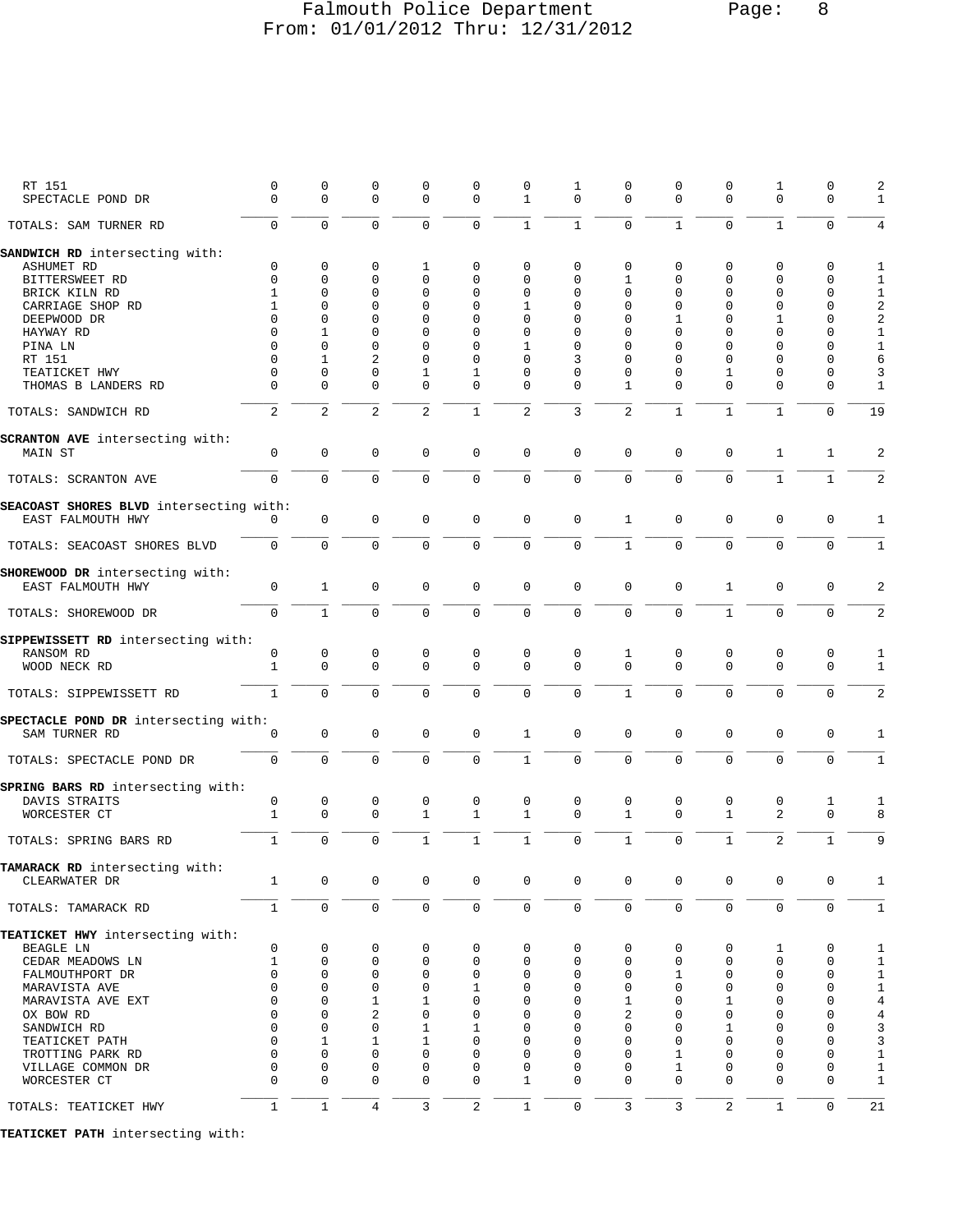## Falmouth Police Department Page: 8 From: 01/01/2012 Thru: 12/31/2012

| RT 151<br>SPECTACLE POND DR             | $\mathsf 0$<br>$\mathbf 0$ | 0<br>$\mathbf 0$ | $\mathbf 0$<br>$\mathbf 0$ | $\mathbf 0$<br>$\mathbf 0$ | $\mathbf 0$<br>$\mathbf 0$ | $\mathsf 0$<br>$\mathbf{1}$ | $\mathbf{1}$<br>$\mathbf 0$ | 0<br>0         | 0<br>$\mathbf 0$ | $\mathbf 0$<br>$\mathbf{0}$ | 1<br>$\mathbf 0$ | $\mathbf 0$<br>$\mathbf 0$ | 2<br>1                         |
|-----------------------------------------|----------------------------|------------------|----------------------------|----------------------------|----------------------------|-----------------------------|-----------------------------|----------------|------------------|-----------------------------|------------------|----------------------------|--------------------------------|
| TOTALS: SAM TURNER RD                   | $\overline{0}$             | $\Omega$         | $\mathbf 0$                | $\mathbf 0$                | $\mathbf 0$                | $\mathbf{1}$                | $\mathbf{1}$                | $\Omega$       | $\mathbf{1}$     | $\mathbf{0}$                | $\mathbf{1}$     | $\mathbf 0$                | 4                              |
| SANDWICH RD intersecting with:          |                            |                  |                            |                            |                            |                             |                             |                |                  |                             |                  |                            |                                |
| <b>ASHUMET RD</b>                       | 0                          | $\mathbf 0$      | 0                          | 1                          | $\mathbf 0$                | 0                           | 0                           | 0              | 0                | 0                           | $\mathbf 0$      | $\mathbf 0$                | 1                              |
| BITTERSWEET RD                          | $\mathbf 0$                | 0                | 0                          | $\mathbf 0$                | $\mathbf 0$                | 0                           | 0                           | 1              | 0                | $\mathbf 0$                 | $\mathbf 0$      | 0                          | 1                              |
|                                         | $\mathbf{1}$               | 0                | 0                          | $\mathbf 0$                | $\mathbf 0$                | 0                           | 0                           | 0              | 0                | $\mathbf 0$                 | $\mathbf 0$      | $\mathbf 0$                |                                |
| BRICK KILN RD                           |                            |                  |                            |                            |                            |                             |                             |                |                  |                             |                  |                            | $\mathbf{1}$                   |
| CARRIAGE SHOP RD                        | 1                          | 0                | 0                          | $\mathbf 0$                | $\mathbf 0$                | 1                           | $\mathbf 0$                 | 0              | 0                | $\Omega$                    | $\mathbf 0$      | 0                          | $\overline{\mathbf{c}}$        |
| DEEPWOOD DR                             | $\mathbf 0$                | 0                | $\Omega$                   | 0                          | $\mathbf 0$                | 0                           | 0                           | 0              | 1                | $\Omega$                    | 1                | 0                          | $\overline{\mathbf{c}}$        |
| HAYWAY RD                               | $\Omega$                   | 1                | $\mathbf 0$                | $\Omega$                   | $\mathbf 0$                | 0                           | 0                           | $\Omega$       | $\Omega$         | $\Omega$                    | $\Omega$         | $\mathbf 0$                | $1\,$                          |
| PINA LN                                 | $\Omega$                   | 0                | $\mathbf 0$                | $\Omega$                   | $\mathbf 0$                | 1                           | 0                           | $\Omega$       | 0                | $\Omega$                    | $\Omega$         | $\mathbf 0$                | $\mathbf{1}$                   |
| RT 151                                  | $\Omega$                   | $\mathbf{1}$     | $\overline{2}$             | $\Omega$                   | $\Omega$                   | 0                           | 3                           | $\Omega$       | $\Omega$         | $\Omega$                    | $\Omega$         | 0                          | 6                              |
| TEATICKET HWY                           | $\mathbf 0$                | 0                | $\mathbf 0$                | $\mathbf{1}$               | $\mathbf{1}$               | 0                           | 0                           | $\mathbf 0$    | $\Omega$         | $\mathbf{1}$                | $\mathbf 0$      | 0                          | 3                              |
| THOMAS B LANDERS RD                     | $\Omega$                   | 0                | $\mathbf 0$                | $\mathbf 0$                | $\mathbf 0$                | 0                           | $\Omega$                    | 1              | 0                | $\mathbf{0}$                | $\mathbf 0$      | $\mathbf 0$                | $\mathbf{1}$                   |
| TOTALS: SANDWICH RD                     | 2                          | 2                | 2                          | 2                          | $\mathbf{1}$               | $\overline{2}$              | 3                           | $\overline{2}$ | $\mathbf{1}$     | $\mathbf{1}$                | $\mathbf{1}$     | $\mathbf 0$                | 19                             |
| SCRANTON AVE intersecting with:         |                            |                  |                            |                            |                            |                             |                             |                |                  |                             |                  |                            |                                |
| MAIN ST                                 | $\mathsf 0$                | $\mathsf 0$      | $\mathbf 0$                | $\mathsf 0$                | $\mathbf 0$                | 0                           | $\mathbf 0$                 | 0              | $\mathsf 0$      | 0                           | 1                | $\mathbf{1}$               | $\overline{a}$                 |
| TOTALS: SCRANTON AVE                    | $\mathsf 0$                | $\mathbf 0$      | $\mathbf 0$                | $\mathbf 0$                | $\mathbf 0$                | $\mathbf 0$                 | 0                           | 0              | $\mathsf 0$      | $\mathbf 0$                 | $\mathbf{1}$     | $\mathbf{1}$               | 2                              |
| SEACOAST SHORES BLVD intersecting with: |                            |                  |                            |                            |                            |                             |                             |                |                  |                             |                  |                            |                                |
| EAST FALMOUTH HWY                       | $\Omega$                   | 0                | 0                          | 0                          | $\mathbf 0$                | $\mathsf 0$                 | $\mathbf 0$                 | $\mathbf{1}$   | 0                | $\mathbf 0$                 | $\mathbf 0$      | $\mathsf 0$                | 1                              |
| TOTALS: SEACOAST SHORES BLVD            | 0                          | $\mathbf 0$      | $\mathbf 0$                | 0                          | $\mathbf 0$                | $\mathbf 0$                 | $\mathbf 0$                 | $\mathbf{1}$   | $\mathbf 0$      | $\mathbf 0$                 | $\mathbf 0$      | $\mathbf 0$                | $\mathbf{1}$                   |
| SHOREWOOD DR intersecting with:         |                            |                  |                            |                            |                            |                             |                             |                |                  |                             |                  |                            |                                |
| EAST FALMOUTH HWY                       | $\mathsf 0$                | $\mathbf{1}$     | $\mathbf 0$                | $\mathbf 0$                | $\mathbf 0$                | $\mathbf 0$                 | $\mathbf 0$                 | 0              | 0                | $\mathbf{1}$                | $\mathbf 0$      | $\mathbf 0$                | 2                              |
| TOTALS: SHOREWOOD DR                    | 0                          | $\mathbf{1}$     | $\mathbf 0$                | $\mathbf 0$                | $\mathbf 0$                | $\mathbf 0$                 | $\mathbf 0$                 | 0              | $\mathbf 0$      | $\mathbf{1}$                | $\mathbf 0$      | $\mathbf 0$                | $\overline{2}$                 |
|                                         |                            |                  |                            |                            |                            |                             |                             |                |                  |                             |                  |                            |                                |
| SIPPEWISSETT RD intersecting with:      |                            |                  |                            |                            |                            |                             |                             |                |                  |                             |                  |                            |                                |
| RANSOM RD                               | 0                          | 0                | 0                          | 0                          | 0                          | 0                           | 0                           | 1              | 0                | 0                           | 0                | 0                          | 1                              |
| WOOD NECK RD                            | $\mathbf 1$                | $\mathbf 0$      | $\mathbf 0$                | $\mathbf 0$                | $\mathbf 0$                | $\mathbf 0$                 | $\Omega$                    | $\Omega$       | $\mathbf 0$      | $\Omega$                    | $\mathbf 0$      | $\mathbf 0$                | 1                              |
| TOTALS: SIPPEWISSETT RD                 | $\mathbf{1}$               | $\mathbf 0$      | $\mathbf 0$                | $\mathbf 0$                | $\mathbf 0$                | $\mathbf 0$                 | $\mathbf 0$                 | $\mathbf{1}$   | $\mathbf 0$      | $\mathbf{0}$                | $\mathbf 0$      | $\mathbf 0$                | 2                              |
|                                         |                            |                  |                            |                            |                            |                             |                             |                |                  |                             |                  |                            |                                |
| SPECTACLE POND DR intersecting with:    |                            |                  |                            |                            |                            |                             |                             |                |                  |                             |                  |                            |                                |
| SAM TURNER RD                           | $\mathbf 0$                | $\mathbf 0$      | $\mathbf 0$                | $\mathbf 0$                | $\mathbf 0$                | $\mathbf{1}$                | $\mathbf 0$                 | 0              | $\mathbf 0$      | $\mathbf 0$                 | $\mathbf 0$      | $\mathsf 0$                | $\mathbf{1}$                   |
|                                         |                            |                  |                            |                            |                            |                             |                             |                |                  |                             |                  |                            |                                |
| TOTALS: SPECTACLE POND DR               | 0                          | $\mathbf 0$      | $\mathbf 0$                | 0                          | $\mathbf 0$                | $\mathbf{1}$                | $\mathbf 0$                 | $\mathbf 0$    | $\mathbf 0$      | $\mathbf 0$                 | $\mathbf 0$      | $\mathbf 0$                | $\mathbf{1}$                   |
|                                         |                            |                  |                            |                            |                            |                             |                             |                |                  |                             |                  |                            |                                |
| SPRING BARS RD intersecting with:       |                            |                  |                            |                            |                            |                             |                             |                |                  |                             |                  |                            |                                |
| DAVIS STRAITS                           | 0                          | 0                | 0                          | 0                          | 0                          | 0                           | 0                           | 0              | 0                | 0                           | 0                | 1                          | 1                              |
| WORCESTER CT                            | $\mathbf{1}$               | $\mathsf 0$      | $\mathbf 0$                | $\mathbf{1}$               | $\mathbf{1}$               | $\mathbf{1}$                | $\mathbf 0$                 | $\mathbf{1}$   | $\mathbf 0$      | $\mathbf{1}$                | 2                | $\mathbf 0$                | 8                              |
|                                         |                            |                  |                            |                            |                            |                             |                             |                |                  |                             |                  |                            |                                |
| TOTALS: SPRING BARS RD                  | $\mathbf{1}$               | $\mathbf 0$      | $\mathbf 0$                | $\mathbf{1}$               | $\mathbf{1}$               | $\mathbf{1}$                | $\mathbf 0$                 | $\mathbf{1}$   | $\mathbf 0$      | $\mathbf{1}$                | 2                | $\mathbf 1$                | 9                              |
|                                         |                            |                  |                            |                            |                            |                             |                             |                |                  |                             |                  |                            |                                |
| TAMARACK RD intersecting with:          |                            |                  |                            |                            |                            |                             |                             |                |                  |                             |                  |                            |                                |
| CLEARWATER DR                           | 1                          | 0                | $\mathsf 0$                | $\mathsf{O}\xspace$        | $\mathsf 0$                | $\mathsf 0$                 | $\mathsf 0$                 | $\mathsf 0$    | 0                | $\mathsf{O}\xspace$         | 0                | $\mathsf 0$                | 1                              |
|                                         |                            |                  |                            |                            |                            |                             |                             |                |                  |                             |                  |                            |                                |
| TOTALS: TAMARACK RD                     | $\mathbf 1$                | $\mathbf 0$      | $\mathbf 0$                | $\mathbf 0$                | $\mathbf 0$                | $\mathsf 0$                 | $\mathbf 0$                 | $\overline{0}$ | $\mathbf 0$      | $\mathbf 0$                 | $\mathbf 0$      | $\mathsf 0$                | $\mathbf{1}$                   |
| TEATICKET HWY intersecting with:        |                            |                  |                            |                            |                            |                             |                             |                |                  |                             |                  |                            |                                |
| BEAGLE LN                               | 0                          | 0                | $\mathbf 0$                | $\mathbf 0$                | $\mathbf 0$                | $\mathbf 0$                 | 0                           | 0              | 0                | $\mathbf 0$                 | 1                | $\mathbf 0$                | $\mathbf{1}$                   |
|                                         | $\mathbf 1$                | 0                | 0                          | $\mathbf 0$                | 0                          | 0                           | 0                           | 0              | 0                | $\mathbf{0}$                | $\mathbf 0$      | 0                          | $\mathbf{1}$                   |
| CEDAR MEADOWS LN                        | $\Omega$                   |                  |                            | $\Omega$                   |                            |                             |                             | $\Omega$       |                  | $\Omega$                    | $\Omega$         |                            |                                |
| FALMOUTHPORT DR                         |                            | $\Omega$         | $\mathbf 0$                |                            | $\mathbf 0$                | 0                           | 0                           |                | 1                |                             |                  | $\mathbf 0$                | $\mathbf{1}$<br>$\overline{1}$ |
| MARAVISTA AVE                           | $\mathbf 0$                | $\mathbf 0$      | $\mathbf 0$                | $\mathbf 0$                | $\mathbf{1}$               | 0                           | 0                           | 0              | 0                | $\mathbf{0}$                | $\mathbf 0$      | $\mathbf 0$                |                                |
| MARAVISTA AVE EXT                       | 0                          | 0                | 1                          | 1                          | $\mathbf 0$                | 0                           | 0                           | 1              | 0                | 1                           | $\mathbf 0$      | $\mathbf 0$                | $\overline{4}$                 |
| OX BOW RD                               | $\mathbf 0$                | 0                | $\overline{a}$             | $\mathbf 0$                | 0                          | 0                           | $\Omega$                    | 2              | $\Omega$         | $\Omega$                    | $\mathbf 0$      | $\mathbf 0$                | $\overline{4}$                 |
| SANDWICH RD                             | $\Omega$                   | 0                | $\mathbf 0$                | $\mathbf{1}$               | $\mathbf{1}$               | 0                           | $\Omega$                    | 0              | 0                | $\mathbf{1}$                | $\Omega$         | $\mathbf 0$                | $\frac{3}{3}$                  |
| TEATICKET PATH                          | $\Omega$                   | 1                | 1                          | 1                          | $\Omega$                   | 0                           | $\Omega$                    | $\Omega$       | $\Omega$         | $\Omega$                    | $\Omega$         | $\mathbf 0$                |                                |
| TROTTING PARK RD                        | $\Omega$                   | $\Omega$         | $\Omega$                   | $\Omega$                   | $\Omega$                   | 0                           | 0                           | $\Omega$       | 1                | $\Omega$                    | $\Omega$         | $\mathbf 0$                | $\mathbf{1}$                   |
| VILLAGE COMMON DR                       | $\mathbf 0$                | 0                | $\mathbf 0$                | $\mathbf 0$                | $\mathbf 0$                | 0                           | 0                           | 0              | $\mathbf{1}$     | $\mathbf{0}$                | $\mathbf 0$      | $\mathbf 0$                | $\mathbf{1}$                   |
| WORCESTER CT                            | $\Omega$                   | 0                | $\Omega$                   | 0                          | $\mathbf 0$                | $\mathbf{1}$                | $\Omega$                    | $\Omega$       | 0                | $\Omega$                    | 0                | $\mathbf 0$                | $\mathbf{1}$                   |
|                                         |                            |                  |                            |                            |                            |                             |                             |                |                  |                             |                  |                            |                                |
| TOTALS: TEATICKET HWY                   | $\mathbf{1}$               | $\mathbf{1}$     | $\overline{4}$             | 3                          | 2                          | $\mathbf{1}$                | 0                           | 3              | 3                | 2                           | $\mathbf{1}$     | $\mathbf 0$                | 21                             |

**TEATICKET PATH** intersecting with: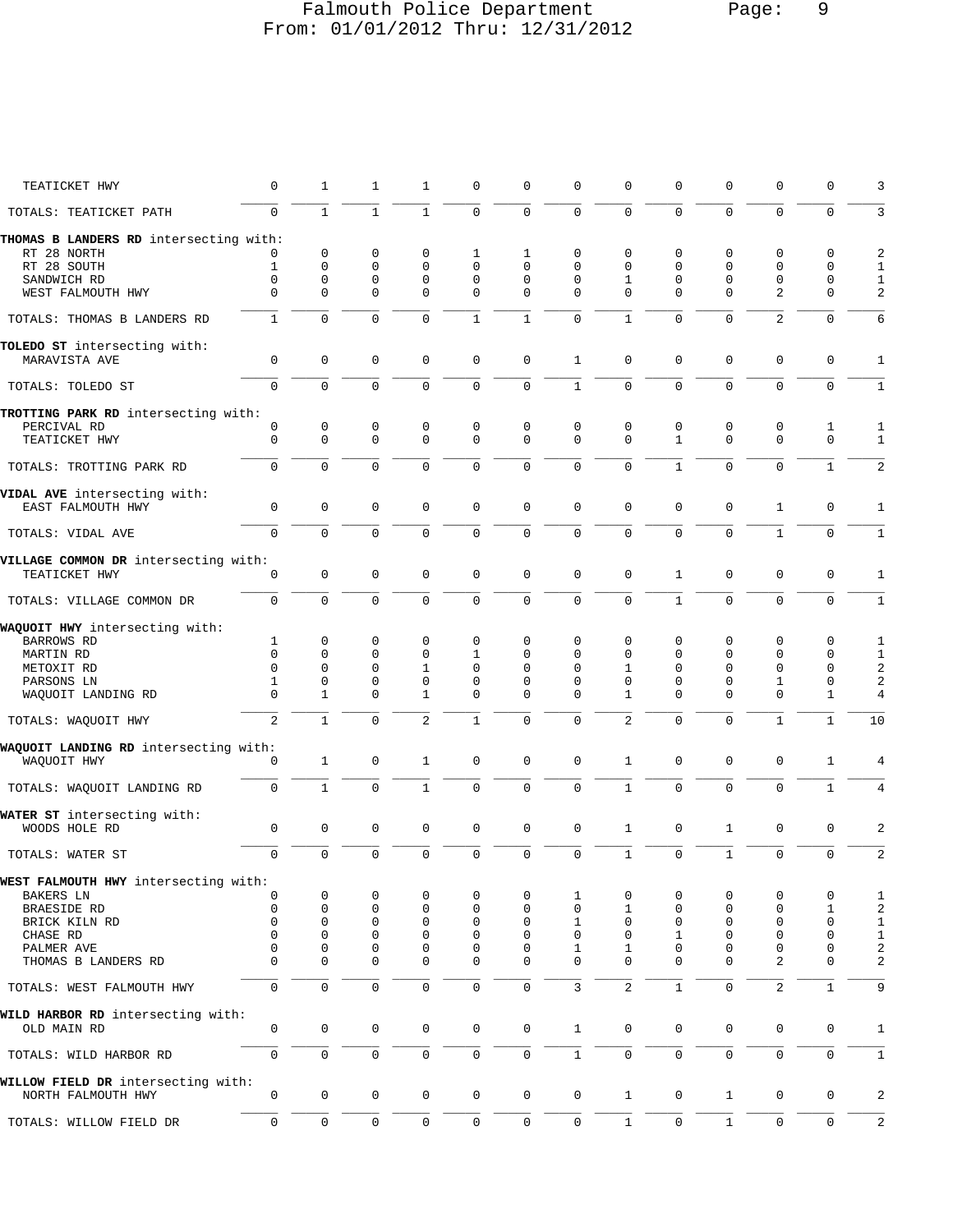## Falmouth Police Department Page: 9 From: 01/01/2012 Thru: 12/31/2012

| TEATICKET HWY                          | 0             | 1            | 1             | 1                           | 0             | 0                   | 0                    | $\Omega$      | U             | U              | 0              | 0            | 3                       |
|----------------------------------------|---------------|--------------|---------------|-----------------------------|---------------|---------------------|----------------------|---------------|---------------|----------------|----------------|--------------|-------------------------|
| TOTALS: TEATICKET PATH                 | $\Omega$      | $\mathbf{1}$ | $\mathbf{1}$  | $\mathbf{1}$                | 0             | $\mathsf 0$         | $\mathsf{O}\xspace$  | $\mathbf 0$   | $\Omega$      | $\Omega$       | $\mathbf 0$    | $\mathbf 0$  | 3                       |
| THOMAS B LANDERS RD intersecting with: |               |              |               |                             |               |                     |                      |               |               |                |                |              |                         |
| RT 28 NORTH                            |               | 0            | 0             | 0                           | 1             | 1                   | 0                    | 0             | 0             | 0              | 0              | 0            | $\boldsymbol{2}$        |
| RT 28 SOUTH                            | 1             | $\mathbf 0$  | $\mathbf 0$   | $\mathbf 0$                 | 0             | $\Omega$            | $\Omega$             | $\mathbf{0}$  | $\Omega$      | $\mathbf 0$    | 0              | 0            | $\mathbf{1}$            |
| SANDWICH RD                            | 0             | 0            | 0             | $\mathbf 0$                 | 0             | 0                   | $\Omega$             | 1             | 0             | $\Omega$       | 0              | 0            | $\mathbf{1}$            |
| WEST FALMOUTH HWY                      | $\Omega$      | $\Omega$     | $\Omega$      | $\Omega$                    | $\mathbf 0$   | $\mathbf 0$         | $\Omega$             | $\Omega$      | $\Omega$      | $\Omega$       | 2              | $\Omega$     | 2                       |
| TOTALS: THOMAS B LANDERS RD            | $\mathbf{1}$  | $\mathbf 0$  | 0             | 0                           | $\mathbf{1}$  | 1                   | 0                    | $\mathbf{1}$  | $\Omega$      | $\mathbf 0$    | $\overline{2}$ | 0            | 6                       |
| TOLEDO ST intersecting with:           |               |              |               |                             |               |                     |                      |               |               |                |                |              |                         |
| MARAVISTA AVE                          | 0             | $\mathbf 0$  | $\mathbf 0$   | $\mathbf 0$                 | $\mathbf 0$   | 0                   | $\mathbf{1}$         | $\mathbf{0}$  | $\mathbf 0$   | $\mathbf 0$    | 0              | $\mathbf 0$  | 1                       |
| TOTALS: TOLEDO ST                      | 0             | $\Omega$     | $\mathbf 0$   | $\mathbf 0$                 | $\Omega$      | $\mathbf 0$         | $\mathbf{1}$         | $\mathbf 0$   | $\Omega$      | $\Omega$       | $\Omega$       | $\mathbf 0$  | $\mathbf{1}$            |
| TROTTING PARK RD intersecting with:    |               |              |               |                             |               |                     |                      |               |               |                |                |              |                         |
| PERCIVAL RD                            | 0             | 0            | 0             | 0                           | 0             | 0                   | 0                    | $\mathbf 0$   | 0             | 0              | 0              | 1            | 1                       |
| TEATICKET HWY                          | 0             | $\mathbf 0$  | $\mathbf 0$   | $\mathbf 0$                 | 0             | $\mathbf 0$         | $\Omega$             | $\Omega$      | $\mathbf{1}$  | $\Omega$       | $\Omega$       | 0            | $\mathbf{1}$            |
| TOTALS: TROTTING PARK RD               | 0             | 0            | $\mathbf 0$   | $\mathbf 0$                 | 0             | $\mathbf 0$         | $\mathbf 0$          | $\mathbf{0}$  | $\mathbf{1}$  | $\mathbf 0$    | 0              | $\mathbf{1}$ | 2                       |
| VIDAL AVE intersecting with:           |               |              |               |                             |               |                     |                      |               |               |                |                |              |                         |
| EAST FALMOUTH HWY                      | 0             | $\mathsf 0$  | $\mathbf 0$   | $\mathbf 0$                 | $\mathbf 0$   | $\mathsf 0$         | $\mathbf 0$          | $\mathbf 0$   | $\mathbf 0$   | $\mathbf 0$    | $\mathbf{1}$   | $\mathbf 0$  | 1                       |
| TOTALS: VIDAL AVE                      | 0             | $\mathbf 0$  | $\mathbf 0$   | $\mathbf 0$                 | 0             | $\mathbf 0$         | $\mathbf 0$          | $\mathbf 0$   | 0             | 0              | $\mathbf{1}$   | $\mathbf 0$  | $\mathbf{1}$            |
| VILLAGE COMMON DR intersecting with:   |               |              |               |                             |               |                     |                      |               |               |                |                |              |                         |
| TEATICKET HWY                          | 0             | $\mathbf 0$  | $\mathbf 0$   | $\mathbf 0$                 | $\mathbf 0$   | $\mathsf 0$         | $\mathbf{0}$         | $\mathbf{0}$  | 1             | 0              | 0              | $\mathbf 0$  | 1                       |
| TOTALS: VILLAGE COMMON DR              | 0             | $\mathbf 0$  | $\mathbf 0$   | $\mathbf 0$                 | $\Omega$      | $\mathsf 0$         | $\mathsf{O}\xspace$  | $\mathsf 0$   | $\mathbf{1}$  | $\overline{0}$ | $\overline{0}$ | $\mathbf 0$  | $1\,$                   |
| WAQUOIT HWY intersecting with:         |               |              |               |                             |               |                     |                      |               |               |                |                |              |                         |
| BARROWS RD                             | 1             | 0            | 0             | 0                           | 0             | 0                   | 0                    | 0             | 0             | 0              | 0              | 0            | 1                       |
| MARTIN RD                              | 0             | 0            | 0             | $\mathbf 0$                 | 1             | $\Omega$            | $\Omega$             | $\Omega$      | 0             | $\Omega$       | $\Omega$       | 0            | $\mathbf{1}$            |
|                                        | $\Omega$      | $\Omega$     | $\mathbf 0$   | $\mathbf{1}$                | 0             | $\Omega$            | $\Omega$             | 1             | 0             | $\mathbf 0$    | 0              | 0            | 2                       |
| METOXIT RD                             |               |              |               |                             |               |                     |                      |               |               |                |                |              |                         |
| PARSONS LN<br>WAQUOIT LANDING RD       | 1<br>$\Omega$ | 0<br>1       | 0<br>$\Omega$ | $\mathbf 0$<br>$\mathbf{1}$ | 0<br>$\Omega$ | 0<br>$\mathbf 0$    | $\Omega$<br>$\Omega$ | $\Omega$<br>1 | 0<br>$\Omega$ | 0<br>$\Omega$  | 1<br>$\Omega$  | 0<br>1       | $\boldsymbol{2}$<br>4   |
|                                        |               |              |               |                             |               |                     |                      |               |               |                |                |              |                         |
| TOTALS: WAQUOIT HWY                    | 2             | $\mathbf{1}$ | $\mathbf 0$   | 2                           | 1             | $\mathbf 0$         | 0                    | 2             | $\Omega$      | $\mathbf 0$    | $\mathbf{1}$   | $\mathbf{1}$ | 10                      |
| WAQUOIT LANDING RD intersecting with:  |               |              |               |                             |               |                     |                      |               |               |                |                |              |                         |
| WAQUOIT HWY                            | 0             | 1            | $\mathbf 0$   | 1                           | 0             | $\mathbf 0$         | $\mathbf{0}$         | 1             | 0             | $\mathbf 0$    | 0              | $\mathbf{1}$ | 4                       |
| TOTALS: WAOUOIT LANDING RD             | 0             | $\mathbf{1}$ | 0             | $\mathbf{1}$                | 0             | $\mathbf 0$         | $\mathbf 0$          | $\mathbf 1$   | 0             | $\mathbf 0$    | $\mathbf 0$    | $\mathbf{1}$ | $\overline{4}$          |
| WATER ST intersecting with:            |               |              |               |                             |               |                     |                      |               |               |                |                |              |                         |
| WOODS HOLE RD                          | 0             | $\mathbf 0$  | $\mathbf 0$   | $\mathbf 0$                 | $\mathbf 0$   | 0                   | $\mathbf 0$          | $\mathbf{1}$  | 0             | $\mathbf{1}$   | 0              | 0            | 2                       |
| TOTALS: WATER ST                       | 0             | $\mathbf 0$  | $\mathbf 0$   | $\mathbf 0$                 | $\mathbf 0$   | $\mathbf 0$         | $\mathbf 0$          | $\mathbf{1}$  | $\mathbf 0$   | $\mathbf{1}$   | $\mathbf 0$    | $\mathbf 0$  | $\overline{a}$          |
| WEST FALMOUTH HWY intersecting with:   |               |              |               |                             |               |                     |                      |               |               |                |                |              |                         |
| BAKERS LN                              | U             | 0            | 0             | 0                           | 0             | 0                   | 1                    | $\Omega$      | 0             | O              | 0              | 0            | 1                       |
| BRAESIDE RD                            | 0             | $\mathbf 0$  | 0             | $\mathbf 0$                 | 0             | O                   | $\Omega$             | 1             | 0             | 0              | 0              | 1            | 2                       |
| BRICK KILN RD                          | 0             | $\mathbf 0$  | 0             | $\mathbf 0$                 | $\mathbf 0$   | 0                   | 1                    | 0             | 0             | 0              | 0              | 0            | $\mathbf{1}$            |
| CHASE RD                               | 0             | $\mathbf 0$  | 0             | $\mathbf 0$                 | 0             | 0                   | 0                    | 0             | 1             | $\mathbf 0$    | 0              | 0            | $\mathbf{1}$            |
| PALMER AVE                             | $\Omega$      | 0            | 0             | 0                           | 0             | 0                   | 1                    | 1             | 0             | $\mathbf 0$    | 0              | 0            | $\sqrt{2}$              |
| THOMAS B LANDERS RD                    | $\Omega$      | 0            | 0             | $\mathbf 0$                 | 0             | 0                   | 0                    | $\Omega$      | $\Omega$      | $\Omega$       | 2              | 0            | $\overline{\mathbf{c}}$ |
| TOTALS: WEST FALMOUTH HWY              | 0             | $\mathbf 0$  | $\mathsf 0$   | $\mathsf 0$                 | 0             | $\mathsf 0$         | 3                    | $\sqrt{2}$    | $\mathbf{1}$  | $\mathbf 0$    | 2              | $\mathbf{1}$ | 9                       |
| WILD HARBOR RD intersecting with:      |               |              |               |                             |               |                     |                      |               |               |                |                |              |                         |
| OLD MAIN RD                            | 0             | $\mathbf 0$  | 0             | 0                           | 0             | 0                   | $\mathbf{1}$         | 0             | 0             | 0              | 0              | 0            | 1                       |
| TOTALS: WILD HARBOR RD                 | 0             | $\mathbf 0$  | $\mathsf 0$   | $\mathsf{O}\xspace$         | 0             | 0                   | $1\,$                | $\mathsf{O}$  | 0             | 0              | $\mathbf 0$    | $\mathsf 0$  | $\mathbf{1}$            |
| WILLOW FIELD DR intersecting with:     |               |              |               |                             |               |                     |                      |               |               |                |                |              |                         |
| NORTH FALMOUTH HWY                     | 0             | $\mathsf 0$  | $\mathbf 0$   | $\mathbf 0$                 | $\mathbf 0$   | $\mathsf{O}\xspace$ | $\mathsf{O}\xspace$  | $\mathbf{1}$  | $\mathbf 0$   | $\mathbf{1}$   | $\mathbf 0$    | $\mathbf 0$  | 2                       |
| TOTALS: WILLOW FIELD DR                | 0             | $\mathbf 0$  | $\mathbf 0$   | $\mathbf 0$                 | $\mathbf 0$   | 0                   | $\mathbf 0$          | $\mathbf{1}$  | 0             | $\mathbf{1}$   | $\mathsf{O}$   | 0            | $\overline{a}$          |
|                                        |               |              |               |                             |               |                     |                      |               |               |                |                |              |                         |